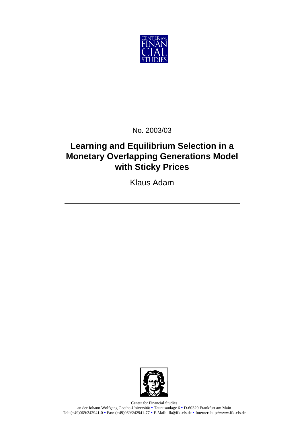

No. 2003/03

## **Learning and Equilibrium Selection in a Monetary Overlapping Generations Model with Sticky Prices**

Klaus Adam



Center for Financial Studies an der Johann Wolfgang Goethe-Universität <sup>•</sup> Taunusanlage 6 • D-60329 Frankfurt am Main Tel: (+49)069/242941-0 Rax: (+49)069/242941-77 B-Mail: ifk@ifk-cfs.de Reflection http://www.ifk-cfs.de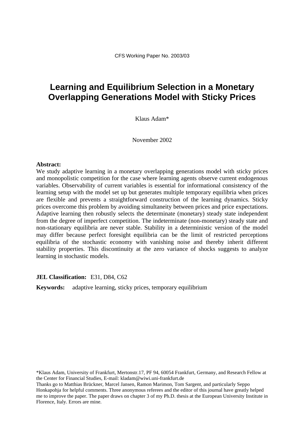## **Learning and Equilibrium Selection in a Monetary Overlapping Generations Model with Sticky Prices**

Klaus Adam\*

November 2002

#### **Abstract:**

We study adaptive learning in a monetary overlapping generations model with sticky prices and monopolistic competition for the case where learning agents observe current endogenous variables. Observability of current variables is essential for informational consistency of the learning setup with the model set up but generates multiple temporary equilibria when prices are flexible and prevents a straightforward construction of the learning dynamics. Sticky prices overcome this problem by avoiding simultaneity between prices and price expectations. Adaptive learning then robustly selects the determinate (monetary) steady state independent from the degree of imperfect competition. The indeterminate (non-monetary) steady state and non-stationary equilibria are never stable. Stability in a deterministic version of the model may differ because perfect foresight equilibria can be the limit of restricted perceptions equilibria of the stochastic economy with vanishing noise and thereby inherit different stability properties. This discontinuity at the zero variance of shocks suggests to analyze learning in stochastic models.

#### **JEL Classification:** E31, D84, C62

**Keywords:** adaptive learning, sticky prices, temporary equilibrium

\*Klaus Adam, University of Frankfurt, Mertonstr.17, PF 94, 60054 Frankfurt, Germany, and Research Fellow at the Center for Financial Studies, E-mail: kladam@wiwi.uni-frankfurt.de

Thanks go to Matthias Brückner, Marcel Jansen, Ramon Marimon, Tom Sargent, and particularly Seppo Honkapohja for helpful comments. Three anonymous referees and the editor of this journal have greatly helped me to improve the paper. The paper draws on chapter 3 of my Ph.D. thesis at the European University Institute in Florence, Italy. Errors are mine.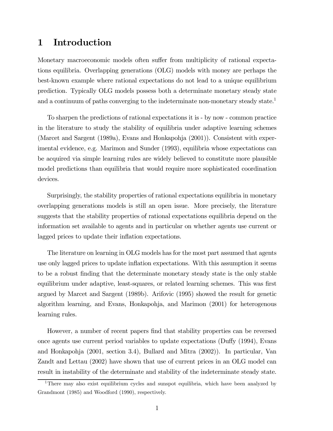### 1 Introduction

Monetary macroeconomic models often suffer from multiplicity of rational expectations equilibria. Overlapping generations (OLG) models with money are perhaps the best-known example where rational expectations do not lead to a unique equilibrium prediction. Typically OLG models possess both a determinate monetary steady state and a continuum of paths converging to the indeterminate non-monetary steady state.<sup>1</sup>

To sharpen the predictions of rational expectations it is - by now - common practice in the literature to study the stability of equilibria under adaptive learning schemes (Marcet and Sargent (1989a), Evans and Honkapohja (2001)). Consistent with experimental evidence, e.g. Marimon and Sunder (1993), equilibria whose expectations can be acquired via simple learning rules are widely believed to constitute more plausible model predictions than equilibria that would require more sophisticated coordination devices.

Surprisingly, the stability properties of rational expectations equilibria in monetary overlapping generations models is still an open issue. More precisely, the literature suggests that the stability properties of rational expectations equilibria depend on the information set available to agents and in particular on whether agents use current or lagged prices to update their inflation expectations.

The literature on learning in OLG models has for the most part assumed that agents use only lagged prices to update inflation expectations. With this assumption it seems to be a robust finding that the determinate monetary steady state is the only stable equilibrium under adaptive, least-squares, or related learning schemes. This was first argued by Marcet and Sargent (1989b). Arifovic (1995) showed the result for genetic algorithm learning, and Evans, Honkapohja, and Marimon (2001) for heterogenous learning rules.

However, a number of recent papers find that stability properties can be reversed once agents use current period variables to update expectations (Duffy (1994), Evans and Honkapohja (2001, section 3.4), Bullard and Mitra (2002)). In particular, Van Zandt and Lettau (2002) have shown that use of current prices in an OLG model can result in instability of the determinate and stability of the indeterminate steady state.

<sup>1</sup>There may also exist equilibrium cycles and sunspot equilibria, which have been analyzed by Grandmont (1985) and Woodford (1990), respectively.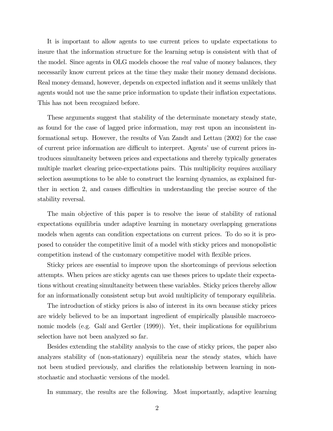It is important to allow agents to use current prices to update expectations to insure that the information structure for the learning setup is consistent with that of the model. Since agents in OLG models choose the real value of money balances, they necessarily know current prices at the time they make their money demand decisions. Real money demand, however, depends on expected inflation and it seems unlikely that agents would not use the same price information to update their inflation expectations. This has not been recognized before.

These arguments suggest that stability of the determinate monetary steady state, as found for the case of lagged price information, may rest upon an inconsistent informational setup. However, the results of Van Zandt and Lettau (2002) for the case of current price information are difficult to interpret. Agentsí use of current prices introduces simultaneity between prices and expectations and thereby typically generates multiple market clearing price-expectations pairs. This multiplicity requires auxiliary selection assumptions to be able to construct the learning dynamics, as explained further in section 2, and causes difficulties in understanding the precise source of the stability reversal.

The main objective of this paper is to resolve the issue of stability of rational expectations equilibria under adaptive learning in monetary overlapping generations models when agents can condition expectations on current prices. To do so it is proposed to consider the competitive limit of a model with sticky prices and monopolistic competition instead of the customary competitive model with flexible prices.

Sticky prices are essential to improve upon the shortcomings of previous selection attempts. When prices are sticky agents can use theses prices to update their expectations without creating simultaneity between these variables. Sticky prices thereby allow for an informationally consistent setup but avoid multiplicity of temporary equilibria.

The introduction of sticky prices is also of interest in its own because sticky prices are widely believed to be an important ingredient of empirically plausible macroeconomic models (e.g. Galí and Gertler  $(1999)$ ). Yet, their implications for equilibrium selection have not been analyzed so far.

Besides extending the stability analysis to the case of sticky prices, the paper also analyzes stability of (non-stationary) equilibria near the steady states, which have not been studied previously, and clarifies the relationship between learning in nonstochastic and stochastic versions of the model.

In summary, the results are the following. Most importantly, adaptive learning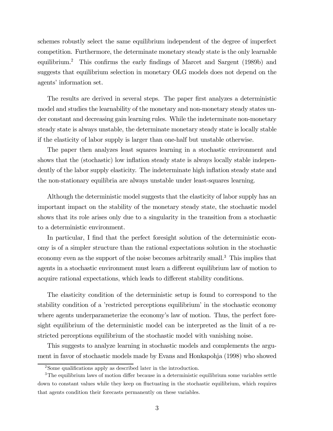schemes robustly select the same equilibrium independent of the degree of imperfect competition. Furthermore, the determinate monetary steady state is the only learnable equilibrium.2 This confirms the early findings of Marcet and Sargent (1989b) and suggests that equilibrium selection in monetary OLG models does not depend on the agents' information set.

The results are derived in several steps. The paper first analyzes a deterministic model and studies the learnability of the monetary and non-monetary steady states under constant and decreasing gain learning rules. While the indeterminate non-monetary steady state is always unstable, the determinate monetary steady state is locally stable if the elasticity of labor supply is larger than one-half but unstable otherwise.

The paper then analyzes least squares learning in a stochastic environment and shows that the (stochastic) low inflation steady state is always locally stable independently of the labor supply elasticity. The indeterminate high inflation steady state and the non-stationary equilibria are always unstable under least-squares learning.

Although the deterministic model suggests that the elasticity of labor supply has an important impact on the stability of the monetary steady state, the stochastic model shows that its role arises only due to a singularity in the transition from a stochastic to a deterministic environment.

In particular, I find that the perfect foresight solution of the deterministic economy is of a simpler structure than the rational expectations solution in the stochastic economy even as the support of the noise becomes arbitrarily small.<sup>3</sup> This implies that agents in a stochastic environment must learn a different equilibrium law of motion to acquire rational expectations, which leads to different stability conditions.

The elasticity condition of the deterministic setup is found to correspond to the stability condition of a 'restricted perceptions equilibrium' in the stochastic economy where agents underparameterize the economy's law of motion. Thus, the perfect foresight equilibrium of the deterministic model can be interpreted as the limit of a restricted perceptions equilibrium of the stochastic model with vanishing noise.

This suggests to analyze learning in stochastic models and complements the argument in favor of stochastic models made by Evans and Honkapohja (1998) who showed

<sup>2</sup>Some qualifications apply as described later in the introduction.

<sup>&</sup>lt;sup>3</sup>The equilibrium laws of motion differ because in a deterministic equilibrium some variables settle down to constant values while they keep on fluctuating in the stochastic equilibrium, which requires that agents condition their forecasts permanently on these variables.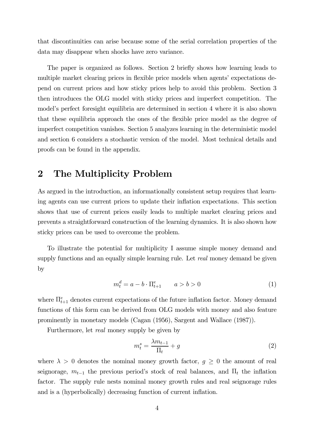that discontinuities can arise because some of the serial correlation properties of the data may disappear when shocks have zero variance.

The paper is organized as follows. Section 2 briefly shows how learning leads to multiple market clearing prices in flexible price models when agents' expectations depend on current prices and how sticky prices help to avoid this problem. Section 3 then introduces the OLG model with sticky prices and imperfect competition. The modelís perfect foresight equilibria are determined in section 4 where it is also shown that these equilibria approach the ones of the flexible price model as the degree of imperfect competition vanishes. Section 5 analyzes learning in the deterministic model and section 6 considers a stochastic version of the model. Most technical details and proofs can be found in the appendix.

### 2 The Multiplicity Problem

As argued in the introduction, an informationally consistent setup requires that learning agents can use current prices to update their inflation expectations. This section shows that use of current prices easily leads to multiple market clearing prices and prevents a straightforward construction of the learning dynamics. It is also shown how sticky prices can be used to overcome the problem.

To illustrate the potential for multiplicity I assume simple money demand and supply functions and an equally simple learning rule. Let real money demand be given by

$$
m_t^d = a - b \cdot \Pi_{t+1}^e \qquad a > b > 0 \tag{1}
$$

where  $\Pi_{t+1}^e$  denotes current expectations of the future inflation factor. Money demand functions of this form can be derived from OLG models with money and also feature prominently in monetary models (Cagan (1956), Sargent and Wallace (1987)).

Furthermore, let real money supply be given by

$$
m_t^s = \frac{\lambda m_{t-1}}{\Pi_t} + g \tag{2}
$$

where  $\lambda > 0$  denotes the nominal money growth factor,  $g \geq 0$  the amount of real seignorage,  $m_{t-1}$  the previous period's stock of real balances, and  $\Pi_t$  the inflation factor. The supply rule nests nominal money growth rules and real seignorage rules and is a (hyperbolically) decreasing function of current inflation.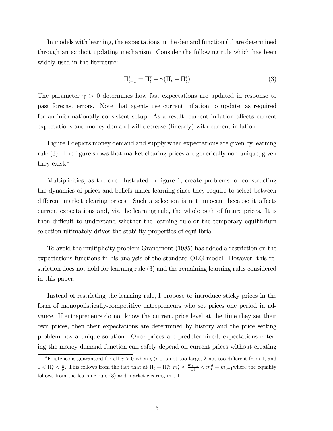In models with learning, the expectations in the demand function (1) are determined through an explicit updating mechanism. Consider the following rule which has been widely used in the literature:

$$
\Pi_{t+1}^e = \Pi_t^e + \gamma (\Pi_t - \Pi_t^e)
$$
\n<sup>(3)</sup>

The parameter  $\gamma > 0$  determines how fast expectations are updated in response to past forecast errors. Note that agents use current inflation to update, as required for an informationally consistent setup. As a result, current inflation affects current expectations and money demand will decrease (linearly) with current inflation.

Figure 1 depicts money demand and supply when expectations are given by learning rule (3). The figure shows that market clearing prices are generically non-unique, given they exist.<sup>4</sup>

Multiplicities, as the one illustrated in figure 1, create problems for constructing the dynamics of prices and beliefs under learning since they require to select between different market clearing prices. Such a selection is not innocent because it affects current expectations and, via the learning rule, the whole path of future prices. It is then difficult to understand whether the learning rule or the temporary equilibrium selection ultimately drives the stability properties of equilibria.

To avoid the multiplicity problem Grandmont (1985) has added a restriction on the expectations functions in his analysis of the standard OLG model. However, this restriction does not hold for learning rule (3) and the remaining learning rules considered in this paper.

Instead of restricting the learning rule, I propose to introduce sticky prices in the form of monopolistically-competitive entrepreneurs who set prices one period in advance. If entrepreneurs do not know the current price level at the time they set their own prices, then their expectations are determined by history and the price setting problem has a unique solution. Once prices are predetermined, expectations entering the money demand function can safely depend on current prices without creating

<sup>&</sup>lt;sup>4</sup>Existence is guaranteed for all  $\gamma > 0$  when  $g > 0$  is not too large,  $\lambda$  not too different from 1, and  $1 < \Pi_t^e < \frac{a}{b}$ . This follows from the fact that at  $\Pi_t = \Pi_t^e$ :  $m_t^s \approx \frac{m_{t-1}}{\Pi_t^e} < m_t^d = m_{t-1}$  where the equality follows from the learning rule (3) and market clearing in t-1.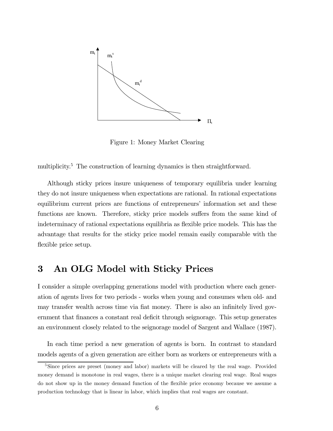

Figure 1: Money Market Clearing

multiplicity.<sup>5</sup> The construction of learning dynamics is then straightforward.

Although sticky prices insure uniqueness of temporary equilibria under learning they do not insure uniqueness when expectations are rational. In rational expectations equilibrium current prices are functions of entrepreneurs' information set and these functions are known. Therefore, sticky price models suffers from the same kind of indeterminacy of rational expectations equilibria as flexible price models. This has the advantage that results for the sticky price model remain easily comparable with the flexible price setup.

### 3 An OLG Model with Sticky Prices

I consider a simple overlapping generations model with production where each generation of agents lives for two periods - works when young and consumes when old- and may transfer wealth across time via fiat money. There is also an infinitely lived government that finances a constant real deficit through seignorage. This setup generates an environment closely related to the seignorage model of Sargent and Wallace (1987).

In each time period a new generation of agents is born. In contrast to standard models agents of a given generation are either born as workers or entrepreneurs with a

<sup>&</sup>lt;sup>5</sup>Since prices are preset (money and labor) markets will be cleared by the real wage. Provided money demand is monotone in real wages, there is a unique market clearing real wage. Real wages do not show up in the money demand function of the flexible price economy because we assume a production technology that is linear in labor, which implies that real wages are constant.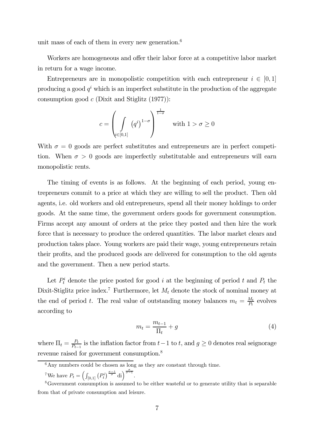unit mass of each of them in every new generation. $6$ 

Workers are homogeneous and offer their labor force at a competitive labor market in return for a wage income.

Entrepreneurs are in monopolistic competition with each entrepreneur  $i \in [0,1]$ producing a good  $q^i$  which is an imperfect substitute in the production of the aggregate consumption good  $c$  (Dixit and Stiglitz  $(1977)$ ):

$$
c = \left(\int\limits_{\substack{i \in [0,1]}} (q^i)^{1-\sigma} \right)^{\frac{1}{1-\sigma}} \quad \text{with } 1 > \sigma \ge 0
$$

With  $\sigma = 0$  goods are perfect substitutes and entrepreneurs are in perfect competition. When  $\sigma > 0$  goods are imperfectly substitutable and entrepreneurs will earn monopolistic rents.

The timing of events is as follows. At the beginning of each period, young entrepreneurs commit to a price at which they are willing to sell the product. Then old agents, i.e. old workers and old entrepreneurs, spend all their money holdings to order goods. At the same time, the government orders goods for government consumption. Firms accept any amount of orders at the price they posted and then hire the work force that is necessary to produce the ordered quantities. The labor market clears and production takes place. Young workers are paid their wage, young entrepreneurs retain their profits, and the produced goods are delivered for consumption to the old agents and the government. Then a new period starts.

Let  $P_t^i$  denote the price posted for good i at the beginning of period t and  $P_t$  the Dixit-Stiglitz price index.<sup>7</sup> Furthermore, let  $M_t$  denote the stock of nominal money at the end of period t. The real value of outstanding money balances  $m_t = \frac{M_t}{P_t}$  evolves according to

$$
m_t = \frac{m_{t-1}}{\Pi_t} + g \tag{4}
$$

where  $\Pi_t = \frac{P_t}{P_{t-1}}$  is the inflation factor from  $t-1$  to  $t$ , and  $g \geq 0$  denotes real seignorage revenue raised for government consumption.<sup>8</sup>

 $6$ Any numbers could be chosen as long as they are constant through time.

<sup>&</sup>lt;sup>7</sup>We have  $P_t = \left(\int_{[0,1]} \left(P_t^i\right)^{\frac{\sigma-1}{\sigma}} \mathrm{d}i\right)^{\frac{\sigma}{\sigma-1}}$ .

<sup>8</sup>Government consumption is assumed to be either wasteful or to generate utility that is separable from that of private consumption and leisure.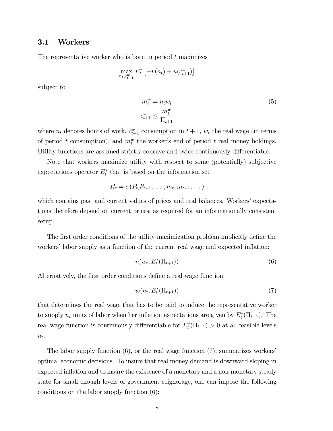### 3.1 Workers

The representative worker who is born in period  $t$  maximizes

$$
\max_{n_t, c_{t+1}^w} E_t^* \left[ -v(n_t) + u(c_{t+1}^w) \right]
$$

subject to

$$
m_t^w = n_t w_t
$$
  
\n
$$
c_{t+1}^w \le \frac{m_t^w}{\Pi_{t+1}}
$$
\n(5)

where  $n_t$  denotes hours of work,  $c_{t+1}^w$  consumption in  $t + 1$ ,  $w_t$  the real wage (in terms of period t consumption), and  $m_t^w$  the worker's end of period t real money holdings. Utility functions are assumed strictly concave and twice continuously differentiable.

Note that workers maximize utility with respect to some (potentially) subjective expectations operator  $E_t^*$  that is based on the information set

$$
H_t = \sigma(P_t, P_{t-1}, \ldots; m_t, m_{t-1}, \ldots)
$$

which contains past and current values of prices and real balances. Workers' expectations therefore depend on current prices, as required for an informationally consistent setup.

The first order conditions of the utility maximization problem implicitly define the workers' labor supply as a function of the current real wage and expected inflation:

$$
n(w_t, E_t^*(\Pi_{t+1}))
$$
\n<sup>(6)</sup>

Alternatively, the first order conditions define a real wage function

$$
w(n_t, E_t^*(\Pi_{t+1})) \tag{7}
$$

that determines the real wage that has to be paid to induce the representative worker to supply  $n_t$  units of labor when her inflation expectations are given by  $E_t^*(\Pi_{t+1})$ . The real wage function is continuously differentiable for  $E_t^*(\Pi_{t+1}) > 0$  at all feasible levels  $n_t$ .

The labor supply function  $(6)$ , or the real wage function  $(7)$ , summarizes workers<sup>'</sup> optimal economic decisions. To insure that real money demand is downward sloping in expected inflation and to insure the existence of a monetary and a non-monetary steady state for small enough levels of government seignorage, one can impose the following conditions on the labor supply function (6):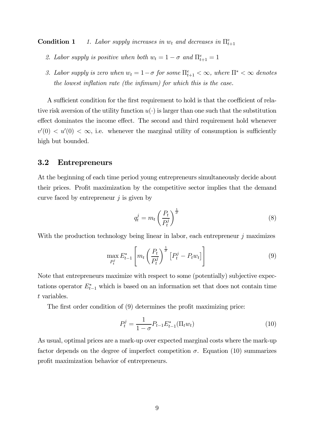**Condition 1** 1. Labor supply increases in  $w_t$  and decreases in  $\Pi_{t+1}^e$ 

- 2. Labor supply is positive when both  $w_t = 1 \sigma$  and  $\Pi_{t+1}^e = 1$
- 3. Labor supply is zero when  $w_t = 1 \sigma$  for some  $\prod_{t=1}^{e} < \infty$ , where  $\prod^* < \infty$  denotes the lowest inflation rate (the infimum) for which this is the case.

A sufficient condition for the first requirement to hold is that the coefficient of relative risk aversion of the utility function  $u(\cdot)$  is larger than one such that the substitution effect dominates the income effect. The second and third requirement hold whenever  $v'(0) < u'(0) < \infty$ , i.e. whenever the marginal utility of consumption is sufficiently high but bounded.

#### 3.2 Entrepreneurs

At the beginning of each time period young entrepreneurs simultaneously decide about their prices. Profit maximization by the competitive sector implies that the demand curve faced by entrepreneur  $i$  is given by

$$
q_t^j = m_t \left(\frac{P_t}{P_t^j}\right)^{\frac{1}{\sigma}} \tag{8}
$$

With the production technology being linear in labor, each entrepreneur  $j$  maximizes

$$
\max_{P_t^j} E_{t-1}^* \left[ m_t \left( \frac{P_t}{P_t^j} \right)^{\frac{1}{\sigma}} \left[ P_t^j - P_t w_t \right] \right] \tag{9}
$$

Note that entrepreneurs maximize with respect to some (potentially) subjective expectations operator  $E_{t-1}^*$  which is based on an information set that does not contain time t variables.

The first order condition of (9) determines the profit maximizing price:

$$
P_t^j = \frac{1}{1 - \sigma} P_{t-1} E_{t-1}^*(\Pi_t w_t)
$$
\n(10)

As usual, optimal prices are a mark-up over expected marginal costs where the mark-up factor depends on the degree of imperfect competition  $\sigma$ . Equation (10) summarizes profit maximization behavior of entrepreneurs.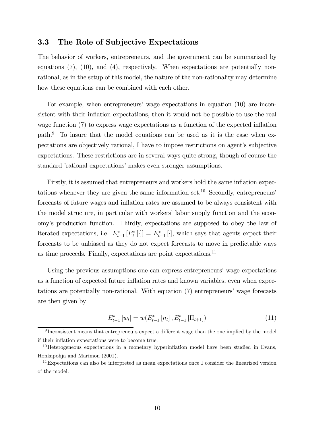#### 3.3 The Role of Subjective Expectations

The behavior of workers, entrepreneurs, and the government can be summarized by equations (7), (10), and (4), respectively. When expectations are potentially nonrational, as in the setup of this model, the nature of the non-rationality may determine how these equations can be combined with each other.

For example, when entrepreneurs' wage expectations in equation (10) are inconsistent with their inflation expectations, then it would not be possible to use the real wage function (7) to express wage expectations as a function of the expected inflation path.9 To insure that the model equations can be used as it is the case when expectations are objectively rational, I have to impose restrictions on agent's subjective expectations. These restrictions are in several ways quite strong, though of course the standard 'rational expectations' makes even stronger assumptions.

Firstly, it is assumed that entrepreneurs and workers hold the same inflation expectations whenever they are given the same information set.<sup>10</sup> Secondly, entrepreneurs<sup>7</sup> forecasts of future wages and inflation rates are assumed to be always consistent with the model structure, in particular with workers' labor supply function and the economyís production function. Thirdly, expectations are supposed to obey the law of iterated expectations, i.e.  $E_{t-1}^*[F_t] = E_{t-1}^*[\cdot]$ , which says that agents expect their forecasts to be unbiased as they do not expect forecasts to move in predictable ways as time proceeds. Finally, expectations are point expectations.11

Using the previous assumptions one can express entrepreneurs' wage expectations as a function of expected future inflation rates and known variables, even when expectations are potentially non-rational. With equation (7) entrepreneursí wage forecasts are then given by

$$
E_{t-1}^*[w_t] = w(E_{t-1}^*[n_t], E_{t-1}^*[\Pi_{t+1}])
$$
\n(11)

<sup>&</sup>lt;sup>9</sup> Inconsistent means that entrepreneurs expect a different wage than the one implied by the model if their inflation expectations were to become true.

 $10$ Heterogeneous expectations in a monetary hyperinflation model have been studied in Evans, Honkapohja and Marimon (2001).

 $11$ Expectations can also be interpreted as mean expectations once I consider the linearized version of the model.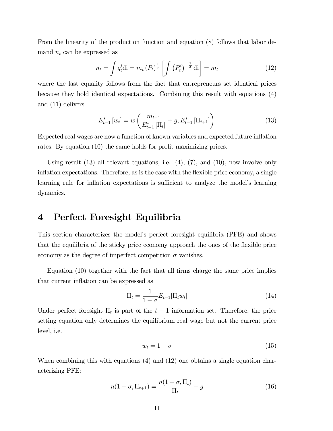From the linearity of the production function and equation (8) follows that labor demand  $n_t$  can be expressed as

$$
n_t = \int q_t^i \text{di} = m_t (P_t)^{\frac{1}{\sigma}} \left[ \int \left( P_t^i \right)^{-\frac{1}{\sigma}} \text{di} \right] = m_t \tag{12}
$$

where the last equality follows from the fact that entrepreneurs set identical prices because they hold identical expectations. Combining this result with equations (4) and (11) delivers

$$
E_{t-1}^* \left[ w_t \right] = w \left( \frac{m_{t-1}}{E_{t-1}^* \left[ \Pi_t \right]} + g, E_{t-1}^* \left[ \Pi_{t+1} \right] \right) \tag{13}
$$

Expected real wages are now a function of known variables and expected future inflation rates. By equation (10) the same holds for profit maximizing prices.

Using result  $(13)$  all relevant equations, i.e.  $(4)$ ,  $(7)$ , and  $(10)$ , now involve only inflation expectations. Therefore, as is the case with the flexible price economy, a single learning rule for inflation expectations is sufficient to analyze the model's learning dynamics.

### 4 Perfect Foresight Equilibria

This section characterizes the modelís perfect foresight equilibria (PFE) and shows that the equilibria of the sticky price economy approach the ones of the flexible price economy as the degree of imperfect competition  $\sigma$  vanishes.

Equation (10) together with the fact that all firms charge the same price implies that current inflation can be expressed as

$$
\Pi_t = \frac{1}{1 - \sigma} E_{t-1}[\Pi_t w_t]
$$
\n(14)

Under perfect foresight  $\Pi_t$  is part of the  $t-1$  information set. Therefore, the price setting equation only determines the equilibrium real wage but not the current price level, i.e.

$$
w_t = 1 - \sigma \tag{15}
$$

When combining this with equations (4) and (12) one obtains a single equation characterizing PFE:

$$
n(1 - \sigma, \Pi_{t+1}) = \frac{n(1 - \sigma, \Pi_t)}{\Pi_t} + g \tag{16}
$$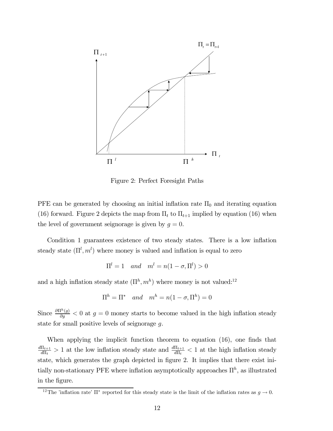

Figure 2: Perfect Foresight Paths

PFE can be generated by choosing an initial inflation rate  $\Pi_0$  and iterating equation (16) forward. Figure 2 depicts the map from  $\Pi_t$  to  $\Pi_{t+1}$  implied by equation (16) when the level of government seignorage is given by  $g = 0$ .

Condition 1 guarantees existence of two steady states. There is a low inflation steady state  $(\Pi^l, m^l)$  where money is valued and inflation is equal to zero

$$
\Pi^l = 1 \quad and \quad m^l = n(1 - \sigma, \Pi^l) > 0
$$

and a high inflation steady state  $(\Pi^h, m^h)$  where money is not valued:<sup>12</sup>

$$
\Pi^h = \Pi^* \quad and \quad m^h = n(1 - \sigma, \Pi^h) = 0
$$

Since  $\frac{\partial \Pi^h(g)}{\partial g} < 0$  at  $g = 0$  money starts to become valued in the high inflation steady state for small positive levels of seignorage g.

When applying the implicit function theorem to equation (16), one finds that  $\frac{d\Pi_{t+1}}{d\Pi_t} > 1$  at the low inflation steady state and  $\frac{d\Pi_{t+1}}{d\Pi_t} < 1$  at the high inflation steady state, which generates the graph depicted in figure 2. It implies that there exist initially non-stationary PFE where inflation asymptotically approaches  $\Pi^h$ , as illustrated in the figure.

<sup>&</sup>lt;sup>12</sup>The 'inflation rate'  $\Pi^*$  reported for this steady state is the limit of the inflation rates as  $g \to 0$ .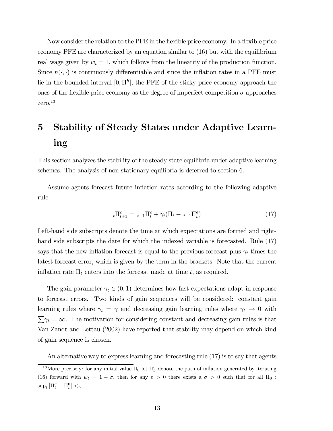Now consider the relation to the PFE in the flexible price economy. In a flexible price economy PFE are characterized by an equation similar to (16) but with the equilibrium real wage given by  $w_t = 1$ , which follows from the linearity of the production function. Since  $n(\cdot, \cdot)$  is continuously differentiable and since the inflation rates in a PFE must lie in the bounded interval  $[0, \Pi^h]$ , the PFE of the sticky price economy approach the ones of the flexible price economy as the degree of imperfect competition  $\sigma$  approaches zero.13

# 5 Stability of Steady States under Adaptive Learning

This section analyzes the stability of the steady state equilibria under adaptive learning schemes. The analysis of non-stationary equilibria is deferred to section 6.

Assume agents forecast future inflation rates according to the following adaptive rule:

$$
{}_{t}\Pi_{t+1}^{e} = {}_{t-1}\Pi_{t}^{e} + \gamma_{t}(\Pi_{t} - {}_{t-1}\Pi_{t}^{e})
$$
\n(17)

Left-hand side subscripts denote the time at which expectations are formed and righthand side subscripts the date for which the indexed variable is forecasted. Rule (17) says that the new inflation forecast is equal to the previous forecast plus  $\gamma_t$  times the latest forecast error, which is given by the term in the brackets. Note that the current inflation rate  $\Pi_t$  enters into the forecast made at time t, as required.

The gain parameter  $\gamma_t \in (0,1)$  determines how fast expectations adapt in response to forecast errors. Two kinds of gain sequences will be considered: constant gain learning rules where  $\gamma_t = \gamma$  and decreasing gain learning rules where  $\gamma_t \to 0$  with  $\sum \gamma_t = \infty$ . The motivation for considering constant and decreasing gain rules is that Van Zandt and Lettau (2002) have reported that stability may depend on which kind of gain sequence is chosen.

An alternative way to express learning and forecasting rule (17) is to say that agents

<sup>&</sup>lt;sup>13</sup>More precisely: for any initial value  $\Pi_0$  let  $\Pi_t^{\sigma}$  denote the path of inflation generated by iterating (16) forward with  $w_t = 1 - \sigma$ , then for any  $\varepsilon > 0$  there exists a  $\sigma > 0$  such that for all  $\Pi_0$ :  $\sup_t \left| \Pi_t^{\sigma} - \Pi_t^0 \right| < \varepsilon.$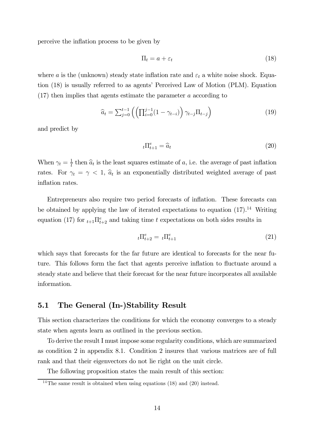perceive the inflation process to be given by

$$
\Pi_t = a + \varepsilon_t \tag{18}
$$

where a is the (unknown) steady state inflation rate and  $\varepsilon_t$  a white noise shock. Equation (18) is usually referred to as agents' Perceived Law of Motion (PLM). Equation (17) then implies that agents estimate the parameter a according to

$$
\widehat{a}_t = \sum_{j=0}^{t-1} \left( \left( \prod_{i=0}^{j-1} (1 - \gamma_{t-i}) \right) \gamma_{t-j} \Pi_{t-j} \right) \tag{19}
$$

and predict by

$$
{}_{t}\Pi_{t+1}^{e} = \widehat{a}_{t} \tag{20}
$$

When  $\gamma_t = \frac{1}{t}$  then  $\hat{a}_t$  is the least squares estimate of a, i.e. the average of past inflation rates. For  $\gamma_t = \gamma \langle 1, \hat{a}_t \rangle$  is an exponentially distributed weighted average of past inflation rates.

Entrepreneurs also require two period forecasts of inflation. These forecasts can be obtained by applying the law of iterated expectations to equation  $(17).^{14}$  Writing equation (17) for  $t_{t+1} \prod_{t+2}^{e}$  and taking time t expectations on both sides results in

$$
{}_{t}\Pi_{t+2}^{e} = {}_{t}\Pi_{t+1}^{e} \tag{21}
$$

which says that forecasts for the far future are identical to forecasts for the near future. This follows form the fact that agents perceive inflation to fluctuate around a steady state and believe that their forecast for the near future incorporates all available information.

### 5.1 The General (In-)Stability Result

This section characterizes the conditions for which the economy converges to a steady state when agents learn as outlined in the previous section.

To derive the result I must impose some regularity conditions, which are summarized as condition 2 in appendix 8.1. Condition 2 insures that various matrices are of full rank and that their eigenvectors do not lie right on the unit circle.

The following proposition states the main result of this section:

 $\frac{14}{14}$ The same result is obtained when using equations (18) and (20) instead.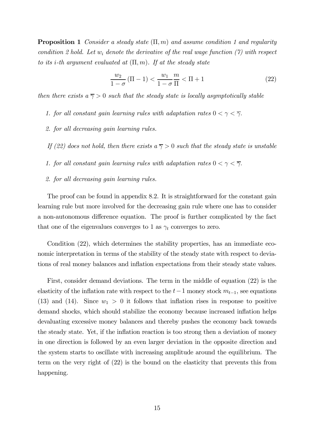**Proposition 1** Consider a steady state  $(\Pi, m)$  and assume condition 1 and regularity condition 2 hold. Let  $w_i$  denote the derivative of the real wage function (7) with respect to its i-th argument evaluated at  $(\Pi, m)$ . If at the steady state

$$
\frac{w_2}{1-\sigma}(\Pi - 1) < \frac{w_1}{1-\sigma} \frac{m}{\Pi} < \Pi + 1 \tag{22}
$$

then there exists  $a \overline{\gamma} > 0$  such that the steady state is locally asymptotically stable

- 1. for all constant gain learning rules with adaptation rates  $0 < \gamma < \overline{\gamma}$ .
- 2. for all decreasing gain learning rules.

If (22) does not hold, then there exists  $a \overline{\gamma} > 0$  such that the steady state is unstable

- 1. for all constant gain learning rules with adaptation rates  $0 < \gamma < \overline{\gamma}$ .
- 2. for all decreasing gain learning rules.

The proof can be found in appendix 8.2. It is straightforward for the constant gain learning rule but more involved for the decreasing gain rule where one has to consider a non-autonomous difference equation. The proof is further complicated by the fact that one of the eigenvalues converges to 1 as  $\gamma_t$  converges to zero.

Condition (22), which determines the stability properties, has an immediate economic interpretation in terms of the stability of the steady state with respect to deviations of real money balances and inflation expectations from their steady state values.

First, consider demand deviations. The term in the middle of equation (22) is the elasticity of the inflation rate with respect to the  $t-1$  money stock  $m_{t-1}$ , see equations (13) and (14). Since  $w_1 > 0$  it follows that inflation rises in response to positive demand shocks, which should stabilize the economy because increased inflation helps devaluating excessive money balances and thereby pushes the economy back towards the steady state. Yet, if the inflation reaction is too strong then a deviation of money in one direction is followed by an even larger deviation in the opposite direction and the system starts to oscillate with increasing amplitude around the equilibrium. The term on the very right of (22) is the bound on the elasticity that prevents this from happening.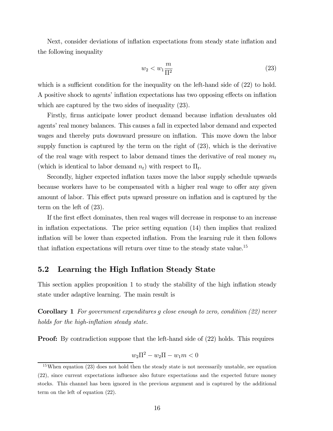Next, consider deviations of inflation expectations from steady state inflation and the following inequality

$$
w_2 < w_1 \frac{m}{\Pi^2} \tag{23}
$$

which is a sufficient condition for the inequality on the left-hand side of  $(22)$  to hold. A positive shock to agents' inflation expectations has two opposing effects on inflation which are captured by the two sides of inequality (23).

Firstly, firms anticipate lower product demand because inflation devaluates old agents' real money balances. This causes a fall in expected labor demand and expected wages and thereby puts downward pressure on inflation. This move down the labor supply function is captured by the term on the right of (23), which is the derivative of the real wage with respect to labor demand times the derivative of real money  $m_t$ (which is identical to labor demand  $n_t$ ) with respect to  $\Pi_t$ .

Secondly, higher expected inflation taxes move the labor supply schedule upwards because workers have to be compensated with a higher real wage to offer any given amount of labor. This effect puts upward pressure on inflation and is captured by the term on the left of (23).

If the first effect dominates, then real wages will decrease in response to an increase in inflation expectations. The price setting equation (14) then implies that realized inflation will be lower than expected inflation. From the learning rule it then follows that inflation expectations will return over time to the steady state value.<sup>15</sup>

### 5.2 Learning the High Inflation Steady State

This section applies proposition 1 to study the stability of the high inflation steady state under adaptive learning. The main result is

Corollary 1 For government expenditures g close enough to zero, condition (22) never holds for the high-inflation steady state.

**Proof:** By contradiction suppose that the left-hand side of  $(22)$  holds. This requires

$$
w_2 \Pi^2 - w_2 \Pi - w_1 m < 0
$$

<sup>15</sup>When equation (23) does not hold then the steady state is not necessarily unstable, see equation (22), since current expectations influence also future expectations and the expected future money stocks. This channel has been ignored in the previous argument and is captured by the additional term on the left of equation (22).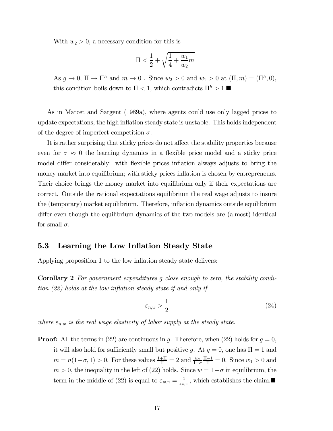With  $w_2 > 0$ , a necessary condition for this is

$$
\Pi < \frac{1}{2} + \sqrt{\frac{1}{4} + \frac{w_1}{w_2}m}
$$

As  $g \to 0$ ,  $\Pi \to \Pi^h$  and  $m \to 0$ . Since  $w_2 > 0$  and  $w_1 > 0$  at  $(\Pi, m) = (\Pi^h, 0)$ , this condition boils down to  $\Pi < 1$ , which contradicts  $\Pi^h > 1$ .

As in Marcet and Sargent (1989a), where agents could use only lagged prices to update expectations, the high inflation steady state is unstable. This holds independent of the degree of imperfect competition  $\sigma$ .

It is rather surprising that sticky prices do not affect the stability properties because even for  $\sigma \approx 0$  the learning dynamics in a flexible price model and a sticky price model differ considerably: with flexible prices inflation always adjusts to bring the money market into equilibrium; with sticky prices inflation is chosen by entrepreneurs. Their choice brings the money market into equilibrium only if their expectations are correct. Outside the rational expectations equilibrium the real wage adjusts to insure the (temporary) market equilibrium. Therefore, inflation dynamics outside equilibrium differ even though the equilibrium dynamics of the two models are (almost) identical for small  $\sigma$ .

#### 5.3 Learning the Low Inflation Steady State

Applying proposition 1 to the low inflation steady state delivers:

Corollary 2 For government expenditures g close enough to zero, the stability condition (22) holds at the low inflation steady state if and only if

$$
\varepsilon_{n,w} > \frac{1}{2} \tag{24}
$$

where  $\varepsilon_{n,w}$  is the real wage elasticity of labor supply at the steady state.

**Proof:** All the terms in (22) are continuous in g. Therefore, when (22) holds for  $g = 0$ , it will also hold for sufficiently small but positive g. At  $g = 0$ , one has  $\Pi = 1$  and  $m = n(1 - \sigma, 1) > 0$ . For these values  $\frac{1 + \Pi}{\Pi} = 2$  and  $\frac{w_2}{1 - \sigma}$  $\frac{\Pi-1}{\Pi} = 0$ . Since  $w_1 > 0$  and  $m > 0$ , the inequality in the left of (22) holds. Since  $w = 1 - \sigma$  in equilibrium, the term in the middle of (22) is equal to  $\varepsilon_{w,n} = \frac{1}{\varepsilon_{n,w}},$  which establishes the claim.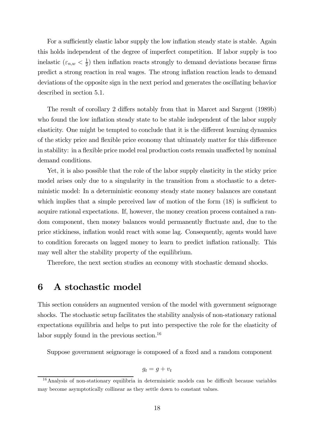For a sufficiently elastic labor supply the low inflation steady state is stable. Again this holds independent of the degree of imperfect competition. If labor supply is too inelastic  $(\varepsilon_{n,w} < \frac{1}{2})$  then inflation reacts strongly to demand deviations because firms predict a strong reaction in real wages. The strong inflation reaction leads to demand deviations of the opposite sign in the next period and generates the oscillating behavior described in section 5.1.

The result of corollary 2 differs notably from that in Marcet and Sargent (1989b) who found the low inflation steady state to be stable independent of the labor supply elasticity. One might be tempted to conclude that it is the different learning dynamics of the sticky price and flexible price economy that ultimately matter for this difference in stability: in a flexible price model real production costs remain unaffected by nominal demand conditions.

Yet, it is also possible that the role of the labor supply elasticity in the sticky price model arises only due to a singularity in the transition from a stochastic to a deterministic model: In a deterministic economy steady state money balances are constant which implies that a simple perceived law of motion of the form  $(18)$  is sufficient to acquire rational expectations. If, however, the money creation process contained a random component, then money balances would permanently fluctuate and, due to the price stickiness, inflation would react with some lag. Consequently, agents would have to condition forecasts on lagged money to learn to predict inflation rationally. This may well alter the stability property of the equilibrium.

Therefore, the next section studies an economy with stochastic demand shocks.

### 6 A stochastic model

This section considers an augmented version of the model with government seignorage shocks. The stochastic setup facilitates the stability analysis of non-stationary rational expectations equilibria and helps to put into perspective the role for the elasticity of labor supply found in the previous section.<sup>16</sup>

Suppose government seignorage is composed of a fixed and a random component

$$
g_t = g + v_t
$$

<sup>&</sup>lt;sup>16</sup>Analysis of non-stationary equilibria in deterministic models can be difficult because variables may become asymptotically collinear as they settle down to constant values.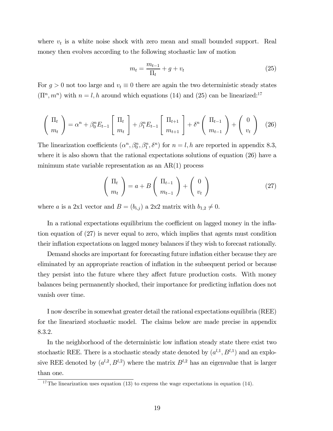where  $v_t$  is a white noise shock with zero mean and small bounded support. Real money then evolves according to the following stochastic law of motion

$$
m_t = \frac{m_{t-1}}{\Pi_t} + g + v_t \tag{25}
$$

For  $g > 0$  not too large and  $v_t \equiv 0$  there are again the two deterministic steady states  $(\Pi^n, m^n)$  with  $n = l, h$  around which equations (14) and (25) can be linearized:<sup>17</sup>

$$
\begin{pmatrix} \Pi_t \\ m_t \end{pmatrix} = \alpha^n + \beta_0^n E_{t-1} \begin{bmatrix} \Pi_t \\ m_t \end{bmatrix} + \beta_1^n E_{t-1} \begin{bmatrix} \Pi_{t+1} \\ m_{t+1} \end{bmatrix} + \delta^n \begin{pmatrix} \Pi_{t-1} \\ m_{t-1} \end{pmatrix} + \begin{pmatrix} 0 \\ v_t \end{pmatrix} \tag{26}
$$

The linearization coefficients  $(\alpha^n, \beta_0^n, \beta_1^n, \delta^n)$  for  $n = l, h$  are reported in appendix 8.3, where it is also shown that the rational expectations solutions of equation (26) have a minimum state variable representation as an AR(1) process

$$
\left(\begin{array}{c}\n\Pi_t \\
m_t\n\end{array}\right) = a + B \left(\begin{array}{c}\n\Pi_{t-1} \\
m_{t-1}\n\end{array}\right) + \left(\begin{array}{c}\n0 \\
v_t\n\end{array}\right) \tag{27}
$$

where a is a 2x1 vector and  $B = (b_{i,j})$  a 2x2 matrix with  $b_{1,2} \neq 0$ .

In a rational expectations equilibrium the coefficient on lagged money in the inflation equation of (27) is never equal to zero, which implies that agents must condition their inflation expectations on lagged money balances if they wish to forecast rationally.

Demand shocks are important for forecasting future inflation either because they are eliminated by an appropriate reaction of inflation in the subsequent period or because they persist into the future where they affect future production costs. With money balances being permanently shocked, their importance for predicting inflation does not vanish over time.

I now describe in somewhat greater detail the rational expectations equilibria (REE) for the linearized stochastic model. The claims below are made precise in appendix 8.3.2.

In the neighborhood of the deterministic low inflation steady state there exist two stochastic REE. There is a stochastic steady state denoted by  $(a^{l,1}, B^{l,1})$  and an explosive REE denoted by  $(a^{l,2}, B^{l,2})$  where the matrix  $B^{l,2}$  has an eigenvalue that is larger than one.

<sup>&</sup>lt;sup>17</sup>The linearization uses equation (13) to express the wage expectations in equation (14).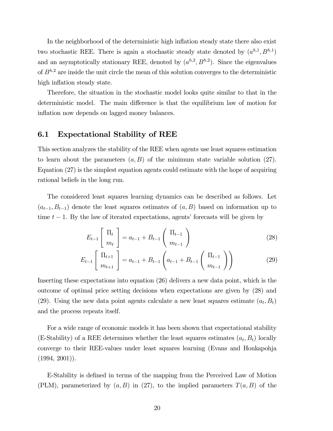In the neighborhood of the deterministic high inflation steady state there also exist two stochastic REE. There is again a stochastic steady state denoted by  $(a^{h,1}, B^{h,1})$ and an asymptotically stationary REE, denoted by  $(a^{h,2}, B^{h,2})$ . Since the eigenvalues of  $B^{h,2}$  are inside the unit circle the mean of this solution converges to the deterministic high inflation steady state.

Therefore, the situation in the stochastic model looks quite similar to that in the deterministic model. The main difference is that the equilibrium law of motion for inflation now depends on lagged money balances.

#### 6.1 Expectational Stability of REE

This section analyzes the stability of the REE when agents use least squares estimation to learn about the parameters  $(a, B)$  of the minimum state variable solution (27). Equation (27) is the simplest equation agents could estimate with the hope of acquiring rational beliefs in the long run.

The considered least squares learning dynamics can be described as follows. Let  $(a_{t-1}, B_{t-1})$  denote the least squares estimates of  $(a, B)$  based on information up to time  $t - 1$ . By the law of iterated expectations, agents' forecasts will be given by

$$
E_{t-1} \left[ \begin{array}{c} \Pi_t \\ m_t \end{array} \right] = a_{t-1} + B_{t-1} \left( \begin{array}{c} \Pi_{t-1} \\ m_{t-1} \end{array} \right) \tag{28}
$$

$$
E_{t-1}\left[\begin{array}{c}\Pi_{t+1} \\ m_{t+1}\end{array}\right] = a_{t-1} + B_{t-1}\left(a_{t-1} + B_{t-1}\left(\begin{array}{c}\Pi_{t-1} \\ m_{t-1}\end{array}\right)\right) \tag{29}
$$

Inserting these expectations into equation (26) delivers a new data point, which is the outcome of optimal price setting decisions when expectations are given by (28) and (29). Using the new data point agents calculate a new least squares estimate  $(a_t, B_t)$ and the process repeats itself.

For a wide range of economic models it has been shown that expectational stability (E-Stability) of a REE determines whether the least squares estimates  $(a_t, B_t)$  locally converge to their REE-values under least squares learning (Evans and Honkapohja  $(1994, 2001)$ .

E-Stability is defined in terms of the mapping from the Perceived Law of Motion (PLM), parameterized by  $(a, B)$  in (27), to the implied parameters  $T(a, B)$  of the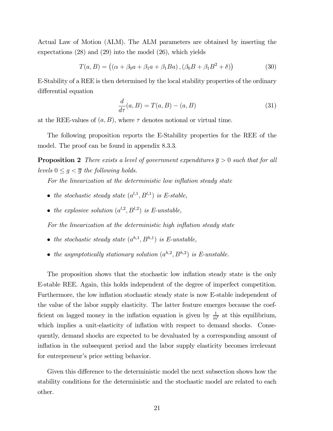Actual Law of Motion (ALM). The ALM parameters are obtained by inserting the expectations (28) and (29) into the model (26), which yields

$$
T(a, B) = ((\alpha + \beta_0 a + \beta_1 a + \beta_1 B a), (\beta_0 B + \beta_1 B^2 + \delta))
$$
 (30)

E-Stability of a REE is then determined by the local stability properties of the ordinary differential equation

$$
\frac{d}{d\tau}(a,B) = T(a,B) - (a,B) \tag{31}
$$

at the REE-values of  $(a, B)$ , where  $\tau$  denotes notional or virtual time.

The following proposition reports the E-Stability properties for the REE of the model. The proof can be found in appendix 8.3.3.

**Proposition 2** There exists a level of government expenditures  $\overline{g} > 0$  such that for all levels  $0 \leq g < \overline{g}$  the following holds.

For the linearization at the deterministic low inflation steady state

- the stochastic steady state  $(a^{l,1}, B^{l,1})$  is E-stable,
- the explosive solution  $(a^{l,2}, B^{l,2})$  is E-unstable,

For the linearization at the deterministic high inflation steady state

- the stochastic steady state  $(a^{h,1}, B^{h,1})$  is E-unstable,
- the asymptotically stationary solution  $(a^{h,2}, B^{h,2})$  is E-unstable.

The proposition shows that the stochastic low inflation steady state is the only E-stable REE. Again, this holds independent of the degree of imperfect competition. Furthermore, the low inflation stochastic steady state is now E-stable independent of the value of the labor supply elasticity. The latter feature emerges because the coefficient on lagged money in the inflation equation is given by  $\frac{1}{m^l}$  at this equilibrium, which implies a unit-elasticity of inflation with respect to demand shocks. Consequently, demand shocks are expected to be devaluated by a corresponding amount of inflation in the subsequent period and the labor supply elasticity becomes irrelevant for entrepreneur's price setting behavior.

Given this difference to the deterministic model the next subsection shows how the stability conditions for the deterministic and the stochastic model are related to each other.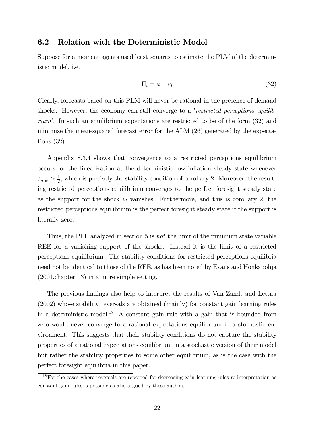#### 6.2 Relation with the Deterministic Model

Suppose for a moment agents used least squares to estimate the PLM of the deterministic model, i.e.

$$
\Pi_t = a + \varepsilon_t \tag{32}
$$

Clearly, forecasts based on this PLM will never be rational in the presence of demand shocks. However, the economy can still converge to a *restricted perceptions equilib*riumí. In such an equilibrium expectations are restricted to be of the form (32) and minimize the mean-squared forecast error for the ALM (26) generated by the expectations (32).

Appendix 8.3.4 shows that convergence to a restricted perceptions equilibrium occurs for the linearization at the deterministic low inflation steady state whenever  $\varepsilon_{n,w} > \frac{1}{2}$ , which is precisely the stability condition of corollary 2. Moreover, the resulting restricted perceptions equilibrium converges to the perfect foresight steady state as the support for the shock  $v_t$  vanishes. Furthermore, and this is corollary 2, the restricted perceptions equilibrium is the perfect foresight steady state if the support is literally zero.

Thus, the PFE analyzed in section 5 is not the limit of the minimum state variable REE for a vanishing support of the shocks. Instead it is the limit of a restricted perceptions equilibrium. The stability conditions for restricted perceptions equilibria need not be identical to those of the REE, as has been noted by Evans and Honkapohja (2001,chapter 13) in a more simple setting.

The previous findings also help to interpret the results of Van Zandt and Lettau (2002) whose stability reversals are obtained (mainly) for constant gain learning rules in a deterministic model.<sup>18</sup> A constant gain rule with a gain that is bounded from zero would never converge to a rational expectations equilibrium in a stochastic environment. This suggests that their stability conditions do not capture the stability properties of a rational expectations equilibrium in a stochastic version of their model but rather the stability properties to some other equilibrium, as is the case with the perfect foresight equilibria in this paper.

<sup>&</sup>lt;sup>18</sup>For the cases where reversals are reported for decreasing gain learning rules re-interpretation as constant gain rules is possible as also argued by these authors.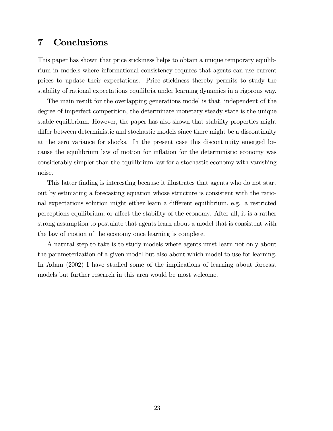### 7 Conclusions

This paper has shown that price stickiness helps to obtain a unique temporary equilibrium in models where informational consistency requires that agents can use current prices to update their expectations. Price stickiness thereby permits to study the stability of rational expectations equilibria under learning dynamics in a rigorous way.

The main result for the overlapping generations model is that, independent of the degree of imperfect competition, the determinate monetary steady state is the unique stable equilibrium. However, the paper has also shown that stability properties might differ between deterministic and stochastic models since there might be a discontinuity at the zero variance for shocks. In the present case this discontinuity emerged because the equilibrium law of motion for inflation for the deterministic economy was considerably simpler than the equilibrium law for a stochastic economy with vanishing noise.

This latter finding is interesting because it illustrates that agents who do not start out by estimating a forecasting equation whose structure is consistent with the rational expectations solution might either learn a different equilibrium, e.g. a restricted perceptions equilibrium, or affect the stability of the economy. After all, it is a rather strong assumption to postulate that agents learn about a model that is consistent with the law of motion of the economy once learning is complete.

A natural step to take is to study models where agents must learn not only about the parameterization of a given model but also about which model to use for learning. In Adam (2002) I have studied some of the implications of learning about forecast models but further research in this area would be most welcome.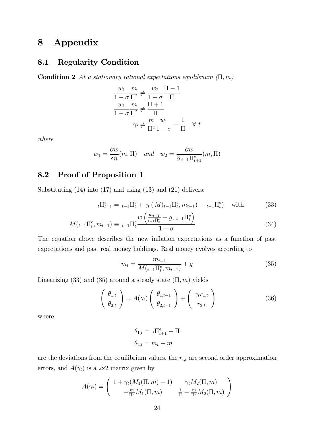### 8 Appendix

### 8.1 Regularity Condition

Condition 2 At a stationary rational expectations equilibrium  $(\Pi, m)$ 

$$
\frac{w_1}{1-\sigma} \frac{m}{\Pi^2} \neq \frac{w_2}{1-\sigma} \frac{\Pi - 1}{\Pi}
$$

$$
\frac{w_1}{1-\sigma} \frac{m}{\Pi^2} \neq \frac{\Pi + 1}{\Pi}
$$

$$
\gamma_t \neq \frac{m}{\Pi^2} \frac{w_1}{1-\sigma} - \frac{1}{\Pi} \quad \forall \ t
$$

where

$$
w_1 = \frac{\partial w}{\partial n}(m, \Pi)
$$
 and  $w_2 = \frac{\partial w}{\partial t_{-1} \Pi_{t+1}^e}(m, \Pi)$ 

### 8.2 Proof of Proposition 1

Substituting  $(14)$  into  $(17)$  and using  $(13)$  and  $(21)$  delivers:

$$
{}_{t}\Pi_{t+1}^{e} = {}_{t-1}\Pi_{t}^{e} + \gamma_{t} \left( M(t_{-1}\Pi_{t}^{e}, m_{t-1}) - {}_{t-1}\Pi_{t}^{e} \right) \quad \text{with} \tag{33}
$$

$$
M(t_{-1}\Pi_t^e, m_{t-1}) \equiv t_{-1}\Pi_t^e \frac{w\left(\frac{m_{t-1}}{t_{-1}\Pi_t^e} + g, t_{-1}\Pi_t^e\right)}{1-\sigma}
$$
(34)

The equation above describes the new inflation expectations as a function of past expectations and past real money holdings. Real money evolves according to

$$
m_t = \frac{m_{t-1}}{M\left(t_{-1}\Pi_t^e, m_{t-1}\right)} + g \tag{35}
$$

Linearizing (33) and (35) around a steady state  $(\Pi, m)$  yields

$$
\left(\begin{array}{c}\n\theta_{1,t} \\
\theta_{2,t}\n\end{array}\right) = A(\gamma_t) \left(\begin{array}{c}\n\theta_{1,t-1} \\
\theta_{2,t-1}\n\end{array}\right) + \left(\begin{array}{c}\n\gamma_t r_{1,t} \\
r_{2,t}\n\end{array}\right) \tag{36}
$$

where

$$
\theta_{1,t} = t \Pi_{t+1}^e - \Pi
$$

$$
\theta_{2,t} = m_t - m
$$

are the deviations from the equilibrium values, the  $r_{i,t}$  are second order approximation errors, and  $A(\gamma_t)$  is a 2x2 matrix given by

$$
A(\gamma_t) = \begin{pmatrix} 1 + \gamma_t (M_1(\Pi, m) - 1) & \gamma_t M_2(\Pi, m) \\ -\frac{m}{\Pi^2} M_1(\Pi, m) & \frac{1}{\Pi} - \frac{m}{\Pi^2} M_2(\Pi, m) \end{pmatrix}
$$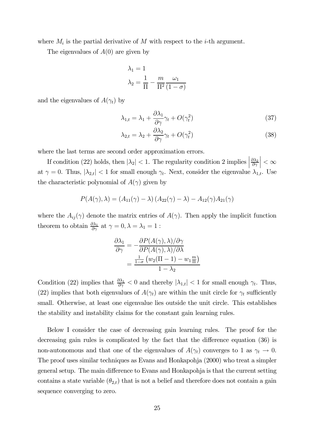where  $M_i$  is the partial derivative of M with respect to the *i*-th argument.

The eigenvalues of  $A(0)$  are given by

$$
\lambda_1 = 1
$$

$$
\lambda_2 = \frac{1}{\Pi} - \frac{m}{\Pi^2} \frac{\omega_1}{(1 - \sigma)}
$$

and the eigenvalues of  $A(\gamma_t)$  by

$$
\lambda_{1,t} = \lambda_1 + \frac{\partial \lambda_1}{\partial \gamma} \gamma_t + O(\gamma_t^2)
$$
\n(37)

$$
\lambda_{2,t} = \lambda_2 + \frac{\partial \lambda_2}{\partial \gamma} \gamma_t + O(\gamma_t^2)
$$
\n(38)

where the last terms are second order approximation errors.

If condition (22) holds, then  $|\lambda_2|$  < 1. The regularity condition 2 implies  $\partial\lambda_2$  $\partial \gamma$  $\vert < \infty$ at  $\gamma = 0$ . Thus,  $|\lambda_{2,t}| < 1$  for small enough  $\gamma_t$ . Next, consider the eigenvalue  $\lambda_{1,t}$ . Use the characteristic polynomial of  $A(\gamma)$  given by

$$
P(A(\gamma),\lambda) = (A_{11}(\gamma) - \lambda) (A_{22}(\gamma) - \lambda) - A_{12}(\gamma) A_{21}(\gamma)
$$

where the  $A_{ij}(\gamma)$  denote the matrix entries of  $A(\gamma)$ . Then apply the implicit function theorem to obtain  $\frac{\partial \lambda_1}{\partial \gamma}$  at  $\gamma = 0, \lambda = \lambda_1 = 1$ :

$$
\frac{\partial \lambda_1}{\partial \gamma} = -\frac{\partial P(A(\gamma), \lambda)/\partial \gamma}{\partial P(A(\gamma), \lambda)/\partial \lambda}
$$

$$
= \frac{\frac{1}{1-\sigma} (w_2(\Pi - 1) - w_1 \frac{m}{\Pi})}{1 - \lambda_2}
$$

Condition (22) implies that  $\frac{\partial \lambda_1}{\partial \gamma} < 0$  and thereby  $|\lambda_{1,t}| < 1$  for small enough  $\gamma_t$ . Thus, (22) implies that both eigenvalues of  $A(\gamma_t)$  are within the unit circle for  $\gamma_t$  sufficiently small. Otherwise, at least one eigenvalue lies outside the unit circle. This establishes the stability and instability claims for the constant gain learning rules.

Below I consider the case of decreasing gain learning rules. The proof for the decreasing gain rules is complicated by the fact that the difference equation (36) is non-autonomous and that one of the eigenvalues of  $A(\gamma_t)$  converges to 1 as  $\gamma_t \to 0$ . The proof uses similar techniques as Evans and Honkapohja (2000) who treat a simpler general setup. The main difference to Evans and Honkapohja is that the current setting contains a state variable  $(\theta_{2,t})$  that is not a belief and therefore does not contain a gain sequence converging to zero.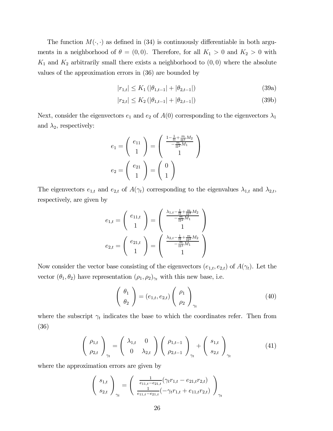The function  $M(\cdot, \cdot)$  as defined in (34) is continuously differentiable in both arguments in a neighborhood of  $\theta = (0, 0)$ . Therefore, for all  $K_1 > 0$  and  $K_2 > 0$  with  $K_1$  and  $K_2$  arbitrarily small there exists a neighborhood to  $(0,0)$  where the absolute values of the approximation errors in (36) are bounded by

$$
|r_{1,t}| \le K_1 \left( |\theta_{1,t-1}| + |\theta_{2,t-1}| \right) \tag{39a}
$$

$$
|r_{2,t}| \le K_2 \left( |\theta_{1,t-1}| + |\theta_{2,t-1}| \right) \tag{39b}
$$

Next, consider the eigenvectors  $e_1$  and  $e_2$  of  $A(0)$  corresponding to the eigenvectors  $\lambda_1$ and  $\lambda_2$ , respectively:

$$
e_1 = \begin{pmatrix} e_{11} \\ 1 \end{pmatrix} = \begin{pmatrix} \frac{1 - \frac{1}{11} + \frac{m}{112} M_2}{-\frac{m}{112} M_1} \\ 1 \end{pmatrix}
$$

$$
e_2 = \begin{pmatrix} e_{21} \\ 1 \end{pmatrix} = \begin{pmatrix} 0 \\ 1 \end{pmatrix}
$$

The eigenvectors  $e_{1,t}$  and  $e_{2,t}$  of  $A(\gamma_t)$  corresponding to the eigenvalues  $\lambda_{1,t}$  and  $\lambda_{2,t}$ , respectively, are given by

$$
e_{1,t} = \begin{pmatrix} e_{11,t} \\ 1 \end{pmatrix} = \begin{pmatrix} \frac{\lambda_{1,t} - \frac{1}{11} + \frac{m}{112} M_2}{1} \\ -\frac{m}{112} M_1 \\ 1 \end{pmatrix}
$$

$$
e_{2,t} = \begin{pmatrix} e_{21,t} \\ 1 \end{pmatrix} = \begin{pmatrix} \frac{\lambda_{2,t} - \frac{1}{11} + \frac{m}{112} M_2}{1} \\ -\frac{m}{112} M_1 \\ 1 \end{pmatrix}
$$

Now consider the vector base consisting of the eigenvectors  $(e_{1,t}, e_{2,t})$  of  $A(\gamma_t)$ . Let the vector  $(\theta_1, \theta_2)$  have representation  $(\rho_1, \rho_2)_{\gamma_t}$  with this new base, i.e.

$$
\left(\begin{array}{c}\n\theta_1 \\
\theta_2\n\end{array}\right) = (e_{1,t}, e_{2,t}) \left(\begin{array}{c}\n\rho_1 \\
\rho_2\n\end{array}\right)_{\gamma_t}
$$
\n(40)

where the subscript  $\gamma_t$  indicates the base to which the coordinates refer. Then from (36)

$$
\left(\begin{array}{c}\n\rho_{1,t} \\
\rho_{2,t}\n\end{array}\right)_{\gamma_t} = \left(\begin{array}{cc}\n\lambda_{1,t} & 0 \\
0 & \lambda_{2,t}\n\end{array}\right) \left(\begin{array}{c}\n\rho_{1,t-1} \\
\rho_{2,t-1}\n\end{array}\right)_{\gamma_t} + \left(\begin{array}{c}\ns_{1,t} \\
s_{2,t}\n\end{array}\right)_{\gamma_t}
$$
\n(41)

where the approximation errors are given by

$$
\begin{pmatrix} s_{1,t} \\ s_{2,t} \end{pmatrix}_{\gamma_t} = \begin{pmatrix} \frac{1}{e_{11,t} - e_{21,t}} (\gamma_t r_{1,t} - e_{21,t} r_{2,t}) \\ \frac{1}{e_{11,t} - e_{21,t}} (-\gamma_t r_{1,t} + e_{11,t} r_{2,t}) \end{pmatrix}_{\gamma_t}
$$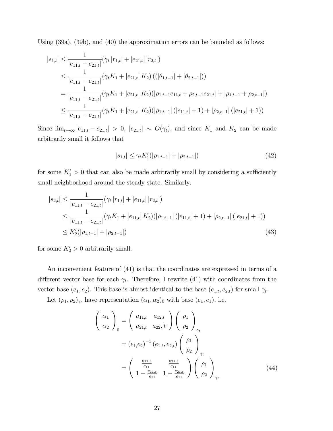Using (39a), (39b), and (40) the approximation errors can be bounded as follows:

$$
|s_{1,t}| \leq \frac{1}{|e_{11,t} - e_{21,t}|} (\gamma_t |r_{1,t}| + |e_{21,t}| |r_{2,t}|)
$$
  
\n
$$
\leq \frac{1}{|e_{11,t} - e_{21,t}|} (\gamma_t K_1 + |e_{21,t}| K_2) ((|\theta_{1,t-1}| + |\theta_{2,t-1}|))
$$
  
\n
$$
= \frac{1}{|e_{11,t} - e_{21,t}|} (\gamma_t K_1 + |e_{21,t}| K_2) (|\rho_{1,t-1}e_{11,t} + \rho_{2,t-1}e_{21,t}| + |\rho_{1,t-1} + \rho_{2,t-1}|)
$$
  
\n
$$
\leq \frac{1}{|e_{11,t} - e_{21,t}|} (\gamma_t K_1 + |e_{21,t}| K_2) (|\rho_{1,t-1}| (|e_{11,t}| + 1) + |\rho_{2,t-1}| (|e_{21,t}| + 1))
$$

Since  $\lim_{t\to\infty} |e_{11,t} - e_{21,t}| > 0$ ,  $|e_{21,t}| \sim O(\gamma_t)$ , and since  $K_1$  and  $K_2$  can be made arbitrarily small it follows that

$$
|s_{1,t}| \le \gamma_t K_1'(|\rho_{1,t-1}| + |\rho_{2,t-1}|) \tag{42}
$$

for some  $K_1' > 0$  that can also be made arbitrarily small by considering a sufficiently small neighborhood around the steady state. Similarly,

$$
|s_{2,t}| \leq \frac{1}{|e_{11,t} - e_{21,t}|} (\gamma_t |r_{1,t}| + |e_{11,t}| |r_{2,t}|)
$$
  
\n
$$
\leq \frac{1}{|e_{11,t} - e_{21,t}|} (\gamma_t K_1 + |e_{11,t}| K_2) (|\rho_{1,t-1}| (|e_{11,t}| + 1) + |\rho_{2,t-1}| (|e_{21,t}| + 1))
$$
  
\n
$$
\leq K_2'(|\rho_{1,t-1}| + |\rho_{2,t-1}|)
$$
\n(43)

for some  $K_2' > 0$  arbitrarily small.

An inconvenient feature of (41) is that the coordinates are expressed in terms of a different vector base for each  $\gamma_t$ . Therefore, I rewrite (41) with coordinates from the vector base  $(e_1, e_2)$ . This base is almost identical to the base  $(e_{1,t}, e_{2,t})$  for small  $\gamma_t$ .

Let  $(\rho_1, \rho_2)_{\gamma_t}$  have representation  $(\alpha_1, \alpha_2)_0$  with base  $(e_1, e_1)$ , i.e.

$$
\begin{pmatrix}\n\alpha_1 \\
\alpha_2\n\end{pmatrix}_0 = \begin{pmatrix}\na_{11,t} & a_{12,t} \\
a_{21,t} & a_{22,t}\n\end{pmatrix} \begin{pmatrix}\n\rho_1 \\
\rho_2\n\end{pmatrix}_{\gamma_t}
$$
\n
$$
= (e_{1}, e_2)^{-1} (e_{1,t}, e_{2,t}) \begin{pmatrix}\n\rho_1 \\
\rho_2\n\end{pmatrix}_{\gamma_t}
$$
\n
$$
= \begin{pmatrix}\n\frac{e_{11,t}}{e_{11}} & \frac{e_{21,t}}{e_{11}} \\
1 - \frac{e_{11,t}}{e_{11}} & 1 - \frac{e_{21,t}}{e_{11}}\n\end{pmatrix} \begin{pmatrix}\n\rho_1 \\
\rho_2\n\end{pmatrix}_{\gamma_t}
$$
\n(44)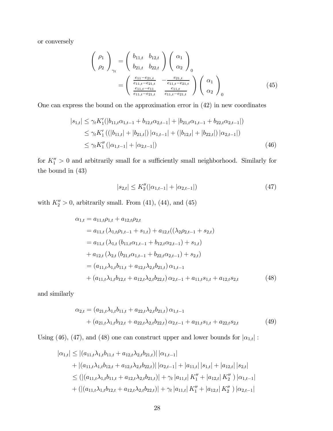or conversely

$$
\begin{pmatrix}\n\rho_1 \\
\rho_2\n\end{pmatrix}_{\gamma_t} = \begin{pmatrix}\nb_{11,t} & b_{12,t} \\
b_{21,t} & b_{22,t}\n\end{pmatrix} \begin{pmatrix}\n\alpha_1 \\
\alpha_2\n\end{pmatrix}_{0}
$$
\n
$$
= \begin{pmatrix}\n\frac{e_{11} - e_{21,t}}{e_{11,t} - e_{21,t}} & -\frac{e_{21,t}}{e_{11,t} - e_{21,t}} \\
\frac{e_{11,t} - e_{11}}{e_{11,t} - e_{21,t}} & \frac{e_{11,t}}{e_{11,t} - e_{21,t}}\n\end{pmatrix} \begin{pmatrix}\n\alpha_1 \\
\alpha_2\n\end{pmatrix}_{0}
$$
\n(45)

One can express the bound on the approximation error in (42) in new coordinates

$$
|s_{1,t}| \leq \gamma_t K_1'(|b_{11,t}\alpha_{1,t-1} + b_{12,t}\alpha_{2,t-1}| + |b_{21,t}\alpha_{1,t-1} + b_{22,t}\alpha_{2,t-1}|)
$$
  
\n
$$
\leq \gamma_t K_1' ((|b_{11,t}| + |b_{21,t}|) |\alpha_{1,t-1}| + (|b_{12,t}| + |b_{22,t}|) |\alpha_{2,t-1}|)
$$
  
\n
$$
\leq \gamma_t K_1'' (|\alpha_{1,t-1}| + |\alpha_{2,t-1}|)
$$
\n(46)

for  $K_1'' > 0$  and arbitrarily small for a sufficiently small neighborhood. Similarly for the bound in (43)

$$
|s_{2,t}| \le K_2''(|\alpha_{1,t-1}| + |\alpha_{2,t-1}|) \tag{47}
$$

with  $K_2'' > 0$ , arbitrarily small. From (41), (44), and (45)

$$
\alpha_{1,t} = a_{11,t}\rho_{1,t} + a_{12,t}\rho_{2,t}
$$
  
\n
$$
= a_{11,t} \left( \lambda_{1,t}\rho_{1,t-1} + s_{1,t} \right) + a_{12,t} \left( \left( \lambda_{2}\rho_{2,t-1} + s_{2,t} \right)
$$
  
\n
$$
= a_{11,t} \left( \lambda_{1,t} \left( b_{11,t}\alpha_{1,t-1} + b_{12,t}\alpha_{2,t-1} \right) + s_{1,t} \right)
$$
  
\n
$$
+ a_{12,t} \left( \lambda_{2,t} \left( b_{21,t}\alpha_{1,t-1} + b_{22,t}\alpha_{2,t-1} \right) + s_{2,t} \right)
$$
  
\n
$$
= (a_{11,t}\lambda_{1,t}b_{11,t} + a_{12,t}\lambda_{2,t}b_{21,t}) \alpha_{1,t-1}
$$
  
\n
$$
+ (a_{11,t}\lambda_{1,t}b_{12,t} + a_{12,t}\lambda_{2,t}b_{22,t}) \alpha_{2,t-1} + a_{11,t}s_{1,t} + a_{12,t}s_{2,t} \qquad (48)
$$

and similarly

$$
\alpha_{2,t} = (a_{21,t}\lambda_{1,t}b_{11,t} + a_{22,t}\lambda_{2,t}b_{21,t})\,\alpha_{1,t-1} \n+ (a_{21,t}\lambda_{1,t}b_{12,t} + a_{22,t}\lambda_{2,t}b_{22,t})\,\alpha_{2,t-1} + a_{21,t}s_{1,t} + a_{22,t}s_{2,t}
$$
\n
$$
(49)
$$

Using (46), (47), and (48) one can construct upper and lower bounds for  $|\alpha_{1,t}|$ :

$$
|\alpha_{1,t}| \leq |(a_{11,t}\lambda_{1,t}b_{11,t} + a_{12,t}\lambda_{2,t}b_{21,t})| |\alpha_{1,t-1}|
$$
  
+ |(a\_{11,t}\lambda\_{1,t}b\_{12,t} + a\_{12,t}\lambda\_{2,t}b\_{22,t})| |\alpha\_{2,t-1}| + |a\_{11,t}| |s\_{1,t}| + |a\_{12,t}| |s\_{2,t}|  

$$
\leq (|(a_{11,t}\lambda_{1,t}b_{11,t} + a_{12,t}\lambda_{2,t}b_{21,t})| + \gamma_t |a_{11,t}| K''_1 + |a_{12,t}| K''_2) |\alpha_{1,t-1}|
$$
  
+ (|(a\_{11,t}\lambda\_{1,t}b\_{12,t} + a\_{12,t}\lambda\_{2,t}b\_{22,t})| + \gamma\_t |a\_{11,t}| K''\_1 + |a\_{12,t}| K''\_2) |\alpha\_{2,t-1}|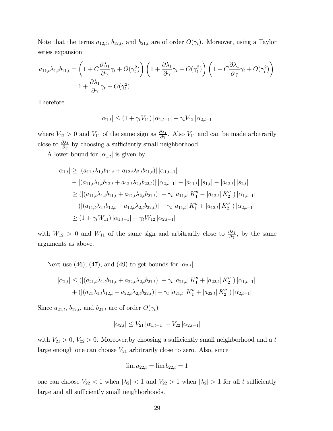Note that the terms  $a_{12,t}$ ,  $b_{12,t}$ , and  $b_{21,t}$  are of order  $O(\gamma_t)$ . Moreover, using a Taylor series expansion

$$
a_{11,t}\lambda_{1,t}b_{11,t} = \left(1 + C\frac{\partial\lambda_1}{\partial\gamma}\gamma_t + O(\gamma_t^2)\right)\left(1 + \frac{\partial\lambda_1}{\partial\gamma}\gamma_t + O(\gamma_t^2)\right)\left(1 - C\frac{\partial\lambda_1}{\partial\gamma}\gamma_t + O(\gamma_t^2)\right)
$$
  
=  $1 + \frac{\partial\lambda_1}{\partial\gamma}\gamma_t + O(\gamma_t^2)$ 

Therefore

$$
|\alpha_{1,t}| \le (1 + \gamma_t V_{11}) |\alpha_{1,t-1}| + \gamma_t V_{12} |\alpha_{2,t-1}|
$$

where  $V_{12} > 0$  and  $V_{11}$  of the same sign as  $\frac{\partial \lambda_1}{\partial \gamma}$ . Also  $V_{11}$  and can be made arbitrarily close to  $\frac{\partial \lambda_1}{\partial \gamma}$  by choosing a sufficiently small neighborhood.

A lower bound for  $|\alpha_{1,t}|$  is given by

$$
|\alpha_{1,t}| \ge |(a_{11,t}\lambda_{1,t}b_{11,t} + a_{12,t}\lambda_{2,t}b_{21,t})| |\alpha_{1,t-1}|
$$
  
\n
$$
- |(a_{11,t}\lambda_{1,t}b_{12,t} + a_{12,t}\lambda_{2,t}b_{22,t})| |\alpha_{2,t-1}| - |a_{11,t}| |s_{1,t}| - |a_{12,t}| |s_{2,t}|
$$
  
\n
$$
\ge (|(a_{11,t}\lambda_{1,t}b_{11,t} + a_{12,t}\lambda_{2,t}b_{21,t})| - \gamma_t |a_{11,t}| K''_1 - |a_{12,t}| K''_2) |\alpha_{1,t-1}|
$$
  
\n
$$
- (|(a_{11,t}\lambda_{1,t}b_{12,t} + a_{12,t}\lambda_{2,t}b_{22,t})| + \gamma_t |a_{11,t}| K''_1 + |a_{12,t}| K''_2) |\alpha_{2,t-1}|
$$
  
\n
$$
\ge (1 + \gamma_t W_{11}) |\alpha_{1,t-1}| - \gamma_t W_{12} |\alpha_{2,t-1}|
$$

with  $W_{12} > 0$  and  $W_{11}$  of the same sign and arbitrarily close to  $\frac{\partial \lambda_1}{\partial \gamma}$ , by the same arguments as above.

Next use (46), (47), and (49) to get bounds for  $|\alpha_{2,t}|$ :

$$
|\alpha_{2,t}| \leq (|(a_{21,t}\lambda_{1,t}b_{11,t} + a_{22,t}\lambda_{2,t}b_{21,t})| + \gamma_t |a_{21,t}| K_1'' + |a_{22,t}| K_2'' ) |\alpha_{1,t-1}|
$$
  
+ 
$$
(|(a_{21}\lambda_{1,t}b_{12,t} + a_{22,t}\lambda_{2,t}b_{22,t})| + \gamma_t |a_{21,t}| K_1'' + |a_{22,t}| K_2'' ) |\alpha_{2,t-1}|
$$

Since  $a_{21,t}$ ,  $b_{12,t}$ , and  $b_{21,t}$  are of order  $O(\gamma_t)$ 

$$
|\alpha_{2,t}| \leq V_{21} |\alpha_{1,t-1}| + V_{22} |\alpha_{2,t-1}|
$$

with  $V_{21} > 0$ ,  $V_{22} > 0$ . Moreover, by choosing a sufficiently small neighborhood and a t large enough one can choose  $V_{21}$  arbitrarily close to zero. Also, since

$$
\lim a_{22,t} = \lim b_{22,t} = 1
$$

one can choose  $V_{22}$  < 1 when  $|\lambda_2|$  < 1 and  $V_{22}$  > 1 when  $|\lambda_2|$  > 1 for all t sufficiently large and all sufficiently small neighborhoods.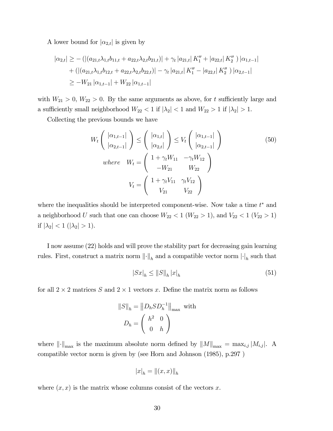A lower bound for  $|\alpha_{2,t}|$  is given by

$$
|\alpha_{2,t}| \ge -\left( \left| (a_{21,t}\lambda_{1,t}b_{11,t} + a_{22,t}\lambda_{2,t}b_{21,t}) \right| + \gamma_t |a_{21,t}| K_1'' + |a_{22,t}| K_2'' \right) |\alpha_{1,t-1}|
$$
  
+ 
$$
\left( \left| (a_{21,t}\lambda_{1,t}b_{12,t} + a_{22,t}\lambda_{2,t}b_{22,t}) \right| - \gamma_t |a_{21,t}| K_1'' - |a_{22,t}| K_2'' \right) |\alpha_{2,t-1}|
$$
  

$$
\ge -W_{21} |\alpha_{1,t-1}| + W_{22} |\alpha_{1,t-1}|
$$

with  $W_{21} > 0$ ,  $W_{22} > 0$ . By the same arguments as above, for t sufficiently large and a sufficiently small neighborhood  $W_{22} < 1$  if  $|\lambda_2| < 1$  and  $W_{22} > 1$  if  $|\lambda_2| > 1$ .

Collecting the previous bounds we have

$$
W_t\left(\begin{array}{c}|\alpha_{1,t-1}|\\|\alpha_{2,t-1}|\end{array}\right) \leq \left(\begin{array}{c}|\alpha_{1,t}|\\|\alpha_{2,t}|\end{array}\right) \leq V_t\left(\begin{array}{c}|\alpha_{1,t-1}|\\|\alpha_{2,t-1}|\end{array}\right)
$$
\n
$$
where \quad W_t = \left(\begin{array}{ccc}1 + \gamma_t W_{11} & -\gamma_t W_{12}\\-W_{21} & W_{22}\end{array}\right)
$$
\n
$$
V_t = \left(\begin{array}{ccc}1 + \gamma_t V_{11} & \gamma_t V_{12}\\V_{21} & V_{22}\end{array}\right)
$$
\n(50)

where the inequalities should be interpreted component-wise. Now take a time  $t^*$  and a neighborhood U such that one can choose  $W_{22} < 1$  ( $W_{22} > 1$ ), and  $V_{22} < 1$  ( $V_{22} > 1$ ) if  $|\lambda_2| < 1$  ( $|\lambda_2| > 1$ ).

I now assume (22) holds and will prove the stability part for decreasing gain learning rules. First, construct a matrix norm  $\lVert \cdot \rVert_h$  and a compatible vector norm  $\lVert \cdot \rVert_h$  such that

$$
|Sx|_h \le ||S||_h |x|_h \tag{51}
$$

for all  $2 \times 2$  matrices S and  $2 \times 1$  vectors x. Define the matrix norm as follows

$$
||S||_h = ||D_h SD_h^{-1}||_{\text{max}} \text{ with}
$$

$$
D_h = \begin{pmatrix} h^2 & 0 \\ 0 & h \end{pmatrix}
$$

where  $\left\| \cdot \right\|_{\max}$  is the maximum absolute norm defined by  $\|M\|_{\max} = \max_{i,j} |M_{i,j}|$ . A compatible vector norm is given by (see Horn and Johnson (1985), p.297 )

$$
|x|_h = \|(x,x)\|_h
$$

where  $(x, x)$  is the matrix whose columns consist of the vectors x.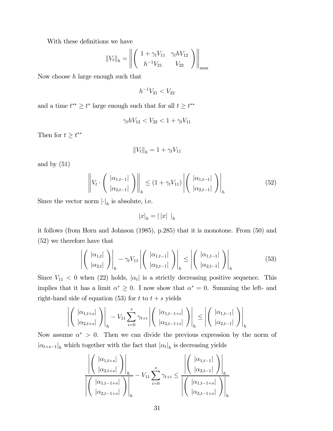With these definitions we have

$$
||V_t||_h = \left\| \begin{pmatrix} 1 + \gamma_t V_{11} & \gamma_t h V_{12} \\ h^{-1} V_{21} & V_{22} \end{pmatrix} \right\|_{\max}
$$

Now choose  $h$  large enough such that

$$
h^{-1}V_{21} < V_{22}
$$

and a time  $t^{**} \geq t^*$  large enough such that for all  $t \geq t^{**}$ 

$$
\gamma_t h V_{12} < V_{22} < 1 + \gamma_t V_{11}
$$

Then for  $t \geq t^{**}$ 

$$
||V_t||_h = 1 + \gamma_t V_{11}
$$

and by  $(51)$ 

$$
\left\| V_t \cdot \left( \left. \frac{|\alpha_{1,t-1}|}{|\alpha_{2,t-1}|} \right) \right\|_{h} \le (1 + \gamma_t V_{11}) \left| \left( \left. \frac{|\alpha_{1,t-1}|}{|\alpha_{2,t-1}|} \right) \right|_{h} \right| \tag{52}
$$

Since the vector norm  $\lvert \cdot \rvert_h$  is absolute, i.e.

$$
|x|_h=|\,|x|\,\mid_h
$$

it follows (from Horn and Johnson (1985), p.285) that it is monotone. From (50) and (52) we therefore have that

$$
\left| \left( \begin{array}{c} |\alpha_{1,t}| \\ |\alpha_{2,t}| \end{array} \right) \right|_{h} - \gamma_t V_{11} \left| \left( \begin{array}{c} |\alpha_{1,t-1}| \\ |\alpha_{2,t-1}| \end{array} \right) \right|_{h} \le \left| \left( \begin{array}{c} |\alpha_{1,t-1}| \\ |\alpha_{2,t-1}| \end{array} \right) \right|_{h} \tag{53}
$$

Since  $V_{11}$  < 0 when (22) holds,  $|\alpha_t|$  is a strictly decreasing positive sequence. This implies that it has a limit  $\alpha^* \geq 0$ . I now show that  $\alpha^* = 0$ . Summing the left- and right-hand side of equation (53) for  $t$  to  $t + s$  yields

$$
\left| \left( \begin{array}{c} |\alpha_{1,t+s}| \\ |\alpha_{2,t+s}| \end{array} \right) \right|_h - V_{11} \sum_{i=0}^s \gamma_{t+i} \left| \left( \begin{array}{c} |\alpha_{1,t-1+i}| \\ |\alpha_{2,t-1+i}| \end{array} \right) \right|_h \leq \left| \left( \begin{array}{c} |\alpha_{1,t-1}| \\ |\alpha_{2,t-1}| \end{array} \right) \right|_h
$$

Now assume  $\alpha^* > 0$ . Then we can divide the previous expression by the norm of  $|\alpha_{t+s-1}|_h$  which together with the fact that  $|\alpha_t|_h$  is decreasing yields

$$
\frac{\left| \left( \begin{array}{c} |\alpha_{1,t+s}| \\ |\alpha_{2,t+s}| \end{array} \right) \right|_h}{\left| \left( \begin{array}{c} |\alpha_{1,t-1+s}| \\ |\alpha_{2,t-1+s}| \end{array} \right) \right|_h} - V_{11} \sum_{i=0}^s \gamma_{t+i} \leq \frac{\left| \left( \begin{array}{c} |\alpha_{1,t-1}| \\ |\alpha_{2,t-1}| \end{array} \right) \right|_h}{\left| \left( \begin{array}{c} |\alpha_{1,t-1+s}| \\ |\alpha_{2,t-1+s}| \end{array} \right) \right|_h}
$$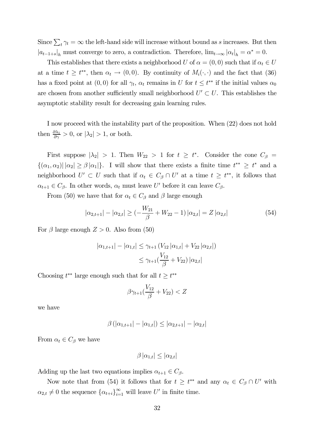Since  $\sum_t \gamma_t = \infty$  the left-hand side will increase without bound as s increases. But then  $|a_{t-1+s}|_h$  must converge to zero, a contradiction. Therefore,  $\lim_{t\to\infty} |\alpha_t|_h = \alpha^* = 0$ .

This establishes that there exists a neighborhood U of  $\alpha = (0, 0)$  such that if  $\alpha_t \in U$ at a time  $t \geq t^{**}$ , then  $\alpha_t \to (0,0)$ . By continuity of  $M_i(\cdot, \cdot)$  and the fact that (36) has a fixed point at  $(0,0)$  for all  $\gamma_t$ ,  $\alpha_t$  remains in U for  $t \leq t^{**}$  if the initial values  $\alpha_0$ are chosen from another sufficiently small neighborhood  $U' \subset U$ . This establishes the asymptotic stability result for decreasing gain learning rules.

I now proceed with the instability part of the proposition. When (22) does not hold then  $\frac{\partial \lambda_1}{\partial \gamma} > 0$ , or  $|\lambda_2| > 1$ , or both.

First suppose  $|\lambda_2| > 1$ . Then  $W_{22} > 1$  for  $t \geq t^*$ . Consider the cone  $C_\beta =$  $\{(\alpha_1, \alpha_2) | |\alpha_2| \ge \beta |\alpha_1|\}.$  I will show that there exists a finite time  $t^{**} \ge t^*$  and a neighborhood  $U' \subset U$  such that if  $\alpha_t \in C_\beta \cap U'$  at a time  $t \geq t^{**}$ , it follows that  $\alpha_{t+1} \in C_{\beta}$ . In other words,  $\alpha_t$  must leave U' before it can leave  $C_{\beta}$ .

From (50) we have that for  $\alpha_t \in C_\beta$  and  $\beta$  large enough

$$
|\alpha_{2,t+1}| - |\alpha_{2,t}| \ge \left(-\frac{W_{21}}{\beta} + W_{22} - 1\right)|\alpha_{2,t}| = Z|\alpha_{2,t}| \tag{54}
$$

For  $\beta$  large enough  $Z > 0$ . Also from (50)

$$
|\alpha_{1,t+1}| - |\alpha_{1,t}| \leq \gamma_{t+1} (V_{12} |\alpha_{1,t}| + V_{22} |\alpha_{2,t}|)
$$
  

$$
\leq \gamma_{t+1} (\frac{V_{12}}{\beta} + V_{22}) |\alpha_{2,t}|
$$

Choosing  $t^{**}$  large enough such that for all  $t \geq t^{**}$ 

$$
\beta\gamma_{t+1}\left(\frac{V_{12}}{\beta} + V_{22}\right) < Z
$$

we have

$$
\beta(|\alpha_{1,t+1}| - |\alpha_{1,t}|) \leq |\alpha_{2,t+1}| - |\alpha_{2,t}|
$$

From  $\alpha_t \in C_\beta$  we have

 $\beta |\alpha_{1,t}| \leq |\alpha_{2,t}|$ 

Adding up the last two equations implies  $\alpha_{t+1} \in C_{\beta}$ .

Now note that from (54) it follows that for  $t \geq t^{**}$  and any  $\alpha_t \in C_\beta \cap U'$  with  $\alpha_{2,t} \neq 0$  the sequence  $\{\alpha_{t+i}\}_{i=1}^{\infty}$  will leave U' in finite time.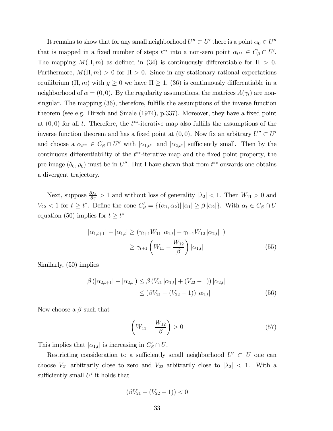It remains to show that for any small neighborhood  $U'' \subset U'$  there is a point  $\alpha_0 \in U''$ that is mapped in a fixed number of steps  $t^{**}$  into a non-zero point  $\alpha_{t^{**}} \in C_\beta \cap U'$ . The mapping  $M(\Pi, m)$  as defined in (34) is continuously differentiable for  $\Pi > 0$ . Furthermore,  $M(\Pi, m) > 0$  for  $\Pi > 0$ . Since in any stationary rational expectations equilibrium  $(\Pi, m)$  with  $g \ge 0$  we have  $\Pi \ge 1$ , (36) is continuously differentiable in a neighborhood of  $\alpha = (0, 0)$ . By the regularity assumptions, the matrices  $A(\gamma_t)$  are nonsingular. The mapping (36), therefore, fulfills the assumptions of the inverse function theorem (see e.g. Hirsch and Smale (1974), p.337). Moreover, they have a fixed point at  $(0,0)$  for all t. Therefore, the t<sup>\*\*</sup>-iterative map also fulfills the assumptions of the inverse function theorem and has a fixed point at  $(0, 0)$ . Now fix an arbitrary  $U'' \subset U'$ and choose a  $\alpha_{t^{**}} \in C_\beta \cap U''$  with  $|\alpha_{1,t^*}|$  and  $|\alpha_{2,t^*}|$  sufficiently small. Then by the continuous differentiability of the  $t^{**}$ -iterative map and the fixed point property, the pre-image  $(\theta_0, \rho_0)$  must be in U''. But I have shown that from  $t^{**}$  onwards one obtains a divergent trajectory.

Next, suppose  $\frac{\partial \lambda_1}{\partial \gamma} > 1$  and without loss of generality  $|\lambda_2| < 1$ . Then  $W_{11} > 0$  and  $V_{22} < 1$  for  $t \geq t^*$ . Define the cone  $C_{\beta}' = \{(\alpha_1, \alpha_2) | |\alpha_1| \geq \beta |\alpha_2|\}$ . With  $\alpha_t \in C_{\beta} \cap U$ equation (50) implies for  $t \geq t^*$ 

$$
|\alpha_{1,t+1}| - |\alpha_{1,t}| \ge (\gamma_{t+1} W_{11} |\alpha_{1,t}| - \gamma_{t+1} W_{12} |\alpha_{2,t}|)
$$
  

$$
\ge \gamma_{t+1} \left( W_{11} - \frac{W_{12}}{\beta} \right) |\alpha_{1,t}|
$$
(55)

Similarly, (50) implies

$$
\beta(|\alpha_{2,t+1}| - |\alpha_{2,t}|) \leq \beta(V_{21}|\alpha_{1,t}| + (V_{22} - 1)) |\alpha_{2,t}|
$$
  
\n
$$
\leq (\beta V_{21} + (V_{22} - 1)) |\alpha_{1,t}|
$$
\n(56)

Now choose a  $\beta$  such that

$$
\left(W_{11} - \frac{W_{12}}{\beta}\right) > 0\tag{57}
$$

This implies that  $|\alpha_{1,t}|$  is increasing in  $C'_{\beta} \cap U$ .

Restricting consideration to a sufficiently small neighborhood  $U' \subset U$  one can choose  $V_{21}$  arbitrarily close to zero and  $V_{22}$  arbitrarily close to  $|\lambda_2|$  < 1. With a sufficiently small  $U'$  it holds that

$$
(\beta V_{21} + (V_{22} - 1)) < 0
$$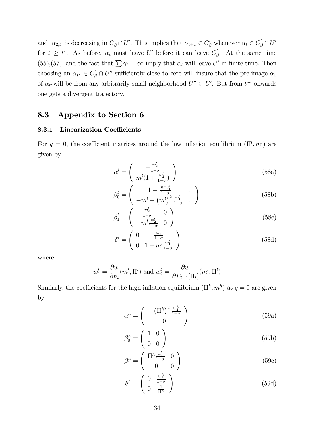and  $|\alpha_{2,t}|$  is decreasing in  $C'_\beta \cap U'$ . This implies that  $\alpha_{t+1} \in C'_\beta$  whenever  $\alpha_t \in C'_\beta \cap U'$ for  $t \geq t^*$ . As before,  $\alpha_t$  must leave U' before it can leave  $C'_{\beta}$ . At the same time (55),(57), and the fact that  $\sum \gamma_t = \infty$  imply that  $\alpha_t$  will leave U' in finite time. Then choosing an  $\alpha_{t^*} \in C'_{\beta} \cap U''$  sufficiently close to zero will insure that the pre-image  $\alpha_0$ of  $\alpha_{t^*}$  will be from any arbitrarily small neighborhood  $U'' \subset U'$ . But from  $t^{**}$  onwards one gets a divergent trajectory.

### 8.3 Appendix to Section 6

#### 8.3.1 Linearization Coefficients

For  $g = 0$ , the coefficient matrices around the low inflation equilibrium  $(\Pi^l, m^l)$  are given by

$$
\alpha^l = \begin{pmatrix} -\frac{w_2^l}{1-\sigma} \\ m^l (1 + \frac{w_2^l}{1-\sigma}) \end{pmatrix}
$$
 (58a)

$$
\beta_0^l = \begin{pmatrix} 1 - \frac{m^l w_1^l}{1 - \sigma} & 0\\ -m^l + \left(m^l\right)^2 \frac{w_1^l}{1 - \sigma} & 0 \end{pmatrix}
$$
 (58b)

$$
\beta_1^l = \begin{pmatrix} \frac{w_2^l}{1-\sigma} & 0\\ -m^l \frac{w_2^l}{1-\sigma} & 0 \end{pmatrix}
$$
 (58c)

$$
\delta^{l} = \begin{pmatrix} 0 & \frac{w_1^{l}}{1-\sigma} \\ 0 & 1 - m^{l} \frac{w_1^{l}}{1-\sigma} \end{pmatrix}
$$
 (58d)

where

$$
w_1^l = \frac{\partial w}{\partial n_t}(m^l, \Pi^l)
$$
 and  $w_2^l = \frac{\partial w}{\partial E_{t-1}[\Pi_t]}(m^l, \Pi^l)$ 

Similarly, the coefficients for the high inflation equilibrium  $(\Pi^h, m^h)$  at  $g = 0$  are given by

$$
\alpha^h = \begin{pmatrix} -\left(\Pi^h\right)^2 \frac{w_2^h}{1-\sigma} \\ 0 \end{pmatrix} \tag{59a}
$$

$$
\beta_0^h = \left(\begin{array}{cc} 1 & 0 \\ 0 & 0 \end{array}\right) \tag{59b}
$$

$$
\beta_1^h = \begin{pmatrix} \Pi^h \frac{w_2^h}{1-\sigma} & 0\\ 0 & 0 \end{pmatrix}
$$
 (59c)

$$
\delta^h = \begin{pmatrix} 0 & \frac{w_1^h}{1-\sigma} \\ 0 & \frac{1}{\Pi^h} \end{pmatrix}
$$
 (59d)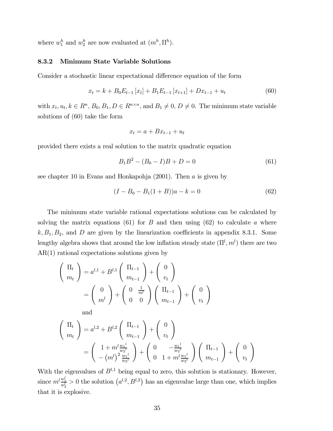where  $w_1^h$  and  $w_2^h$  are now evaluated at  $(m^h, \Pi^h)$ .

#### 8.3.2 Minimum State Variable Solutions

Consider a stochastic linear expectational difference equation of the form

$$
x_{t} = k + B_{0}E_{t-1}[x_{t}] + B_{1}E_{t-1}[x_{t+1}] + Dx_{t-1} + u_{t}
$$
\n(60)

with  $x_t, u_t, k \in \mathbb{R}^n$ ,  $B_0, B_1, D \in \mathbb{R}^{n \times n}$ , and  $B_1 \neq 0$ ,  $D \neq 0$ . The minimum state variable solutions of (60) take the form

$$
x_t = a + Bx_{t-1} + u_t
$$

provided there exists a real solution to the matrix quadratic equation

$$
B_1 B^2 - (B_0 - I)B + D = 0 \tag{61}
$$

see chapter 10 in Evans and Honkapohja  $(2001)$ . Then a is given by

$$
(I - B_0 - B_1(1 + B))a - k = 0
$$
\n(62)

The minimum state variable rational expectations solutions can be calculated by solving the matrix equations (61) for  $B$  and then using (62) to calculate  $a$  where  $k, B_1, B_2$ , and D are given by the linearization coefficients in appendix 8.3.1. Some lengthy algebra shows that around the low inflation steady state  $(\Pi^l, m^l)$  there are two AR(1) rational expectations solutions given by

$$
\begin{pmatrix}\n\Pi_t \\
m_t\n\end{pmatrix} = a^{l,1} + B^{l,1} \begin{pmatrix}\n\Pi_{t-1} \\
m_{t-1}\n\end{pmatrix} + \begin{pmatrix}\n0 \\
v_t\n\end{pmatrix}
$$
\n
$$
= \begin{pmatrix}\n0 \\
m^l\n\end{pmatrix} + \begin{pmatrix}\n0 & \frac{1}{m^l} \\
0 & 0\n\end{pmatrix} \begin{pmatrix}\n\Pi_{t-1} \\
m_{t-1}\n\end{pmatrix} + \begin{pmatrix}\n0 \\
v_t\n\end{pmatrix}
$$

and

$$
\begin{aligned}\n\left(\begin{array}{c}\n\Pi_t \\
m_t\n\end{array}\right) &= a^{l,2} + B^{l,2} \left(\begin{array}{c}\n\Pi_{t-1} \\
m_{t-1}\n\end{array}\right) + \left(\begin{array}{c}\n0 \\
v_t\n\end{array}\right) \\
&= \left(\begin{array}{c}\n1 + m^l \frac{w_1^l}{w_2^l} \\
-(m^l)^2 \frac{w_1^l}{w_2^l}\n\end{array}\right) + \left(\begin{array}{c}\n0 & -\frac{w_1^l}{w_2^l} \\
0 & 1 + m^l \frac{w_1^l}{w_2^l}\n\end{array}\right) \left(\begin{array}{c}\n\Pi_{t-1} \\
m_{t-1}\n\end{array}\right) + \left(\begin{array}{c}\n0 \\
v_t\n\end{array}\right)\n\end{aligned}
$$

With the eigenvalues of  $B^{l,1}$  being equal to zero, this solution is stationary. However, since  $m^l \frac{w_1^l}{w_2^l} > 0$  the solution  $(a^{l,2}, B^{l,2})$  has an eigenvalue large than one, which implies that it is explosive.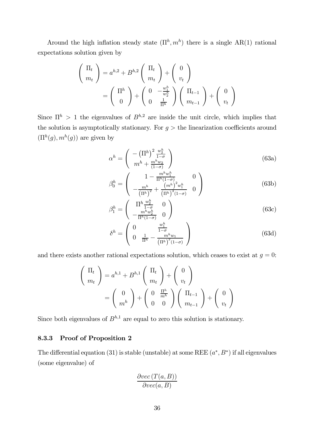Around the high inflation steady state  $(\Pi^h, m^h)$  there is a single AR(1) rational expectations solution given by

$$
\begin{pmatrix} \Pi_t \\ m_t \end{pmatrix} = a^{h,2} + B^{h,2} \begin{pmatrix} \Pi_t \\ m_t \end{pmatrix} + \begin{pmatrix} 0 \\ v_t \end{pmatrix}
$$

$$
= \begin{pmatrix} \Pi^h \\ 0 \end{pmatrix} + \begin{pmatrix} 0 & -\frac{w_1^h}{w_2^h} \\ 0 & \frac{1}{\Pi^h} \end{pmatrix} \begin{pmatrix} \Pi_{t-1} \\ m_{t-1} \end{pmatrix} + \begin{pmatrix} 0 \\ v_t \end{pmatrix}
$$

Since  $\Pi^h > 1$  the eigenvalues of  $B^{h,2}$  are inside the unit circle, which implies that the solution is asymptotically stationary. For  $g >$  the linearization coefficients around  $(\Pi^h(g), m^h(g))$  are given by

$$
\alpha^h = \begin{pmatrix} -\left(\Pi^h\right)^2 \frac{w_2^h}{1-\sigma} \\ m^h + \frac{m^h w_2}{(1-\sigma)} \end{pmatrix} \tag{63a}
$$

$$
\beta_0^h = \begin{pmatrix} 1 - \frac{m^h w_1^h}{\Pi^h (1 - \sigma)} & 0\\ -\frac{m^h}{(\Pi^h)^2} + \frac{(m^h)^2 w_1^h}{(\Pi^h)^3 (1 - \sigma)} & 0 \end{pmatrix}
$$
(63b)

$$
\beta_1^h = \begin{pmatrix} \prod_{\substack{h \to b_1 \\ -m^h w_2^h}} \frac{w_2^h}{\prod_{\substack{h \to c_1 \\ -1}} (1-\sigma)} & 0 \end{pmatrix} \tag{63c}
$$

$$
\delta^{h} = \begin{pmatrix} 0 & \frac{w_1^{h}}{1-\sigma} \\ 0 & \frac{1}{\Pi^{h}} - \frac{m^{h}w_1}{(\Pi^{h})^2(1-\sigma)} \end{pmatrix}
$$
(63d)

and there exists another rational expectations solution, which ceases to exist at  $g = 0$ :

$$
\begin{pmatrix} \Pi_t \\ m_t \end{pmatrix} = a^{h,1} + B^{h,1} \begin{pmatrix} \Pi_t \\ m_t \end{pmatrix} + \begin{pmatrix} 0 \\ v_t \end{pmatrix}
$$

$$
= \begin{pmatrix} 0 \\ m^h \end{pmatrix} + \begin{pmatrix} 0 & \frac{\Pi^h}{m^h} \\ 0 & 0 \end{pmatrix} \begin{pmatrix} \Pi_{t-1} \\ m_{t-1} \end{pmatrix} + \begin{pmatrix} 0 \\ v_t \end{pmatrix}
$$

Since both eigenvalues of  $B^{h,1}$  are equal to zero this solution is stationary.

#### 8.3.3 Proof of Proposition 2

The differential equation (31) is stable (unstable) at some REE  $(a^*, B^*)$  if all eigenvalues (some eigenvalue) of

$$
\frac{\partial vec(T(a,B))}{\partial vec(a,B)}
$$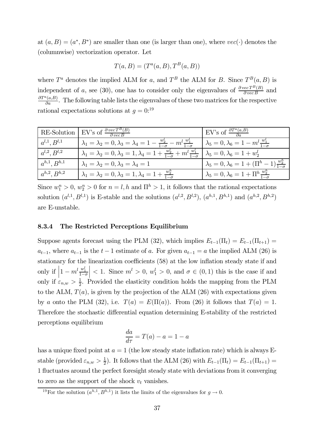at  $(a, B) = (a^*, B^*)$  are smaller than one (is larger than one), where  $vec(\cdot)$  denotes the (columnwise) vectorization operator. Let

$$
T(a, B) = (Ta(a, B), TB(a, B))
$$

where  $T^a$  denotes the implied ALM for a, and  $T^B$  the ALM for B. Since  $T^B(a, B)$  is independent of a, see (30), one has to consider only the eigenvalues of  $\frac{\partial vecT^B(B)}{\partial vecB}$  and  $\frac{\partial T^a(a,B)}{\partial a}$ . The following table lists the eigenvalues of these two matrices for the respective rational expectations solutions at  $g = 0$ <sup>19</sup>

| RE-Solution                     | EV's of $\frac{\partial vecT^{B}(B)}{\partial vecB}$                                                            | EV's of $\frac{\partial T^a(a,B)}{\partial a}$                      |
|---------------------------------|-----------------------------------------------------------------------------------------------------------------|---------------------------------------------------------------------|
| $ a^{l,1},B^{l,1} $             | $\lambda_1 = \lambda_2 = 0, \lambda_3 = \lambda_4 = 1 - \frac{w_2^2}{1-\sigma} - m^l \frac{w_1^l}{1-\sigma}$    | $\lambda_5 = 0, \lambda_6 = 1 - m^l \frac{w_1^l}{1 - \sigma}$       |
| $ a^{l,2},B^{l,2} $             | $\lambda_1 = \lambda_2 = 0, \lambda_3 = 1, \lambda_4 = 1 + \frac{w_2^2}{1-\sigma} + m^l \frac{w_1^2}{1-\sigma}$ | $\lambda_5=0, \lambda_6=1+w_2^l$                                    |
| $a^{h,1}, B^{h,1}$              | $\lambda_1=\lambda_2=0, \lambda_3=\lambda_4=1$                                                                  | $\lambda_5 = 0, \lambda_6 = 1 + (\Pi^h - 1) \frac{w_2^h}{1-\sigma}$ |
| $\left  a^{h,2},B^{h,2}\right $ | $\lambda_1 = \lambda_2 = 0, \lambda_3 = 1, \lambda_4 = 1 + \frac{w_2^n}{1-\sigma}$                              | $\lambda_5=0, \lambda_6=1+\Pi^h\frac{w_2^n}{1-\sigma}$              |

Since  $w_1^n > 0$ ,  $w_2^n > 0$  for  $n = l, h$  and  $\prod^h > 1$ , it follows that the rational expectations solution  $(a^{l,1}, B^{l,1})$  is E-stable and the solutions  $(a^{l,2}, B^{l,2}), (a^{h,1}, B^{h,1})$  and  $(a^{h,2}, B^{h,2})$ are E-unstable.

#### 8.3.4 The Restricted Perceptions Equilibrium

Suppose agents forecast using the PLM (32), which implies  $E_{t-1}(\Pi_t) = E_{t-1}(\Pi_{t+1}) =$  $a_{t-1}$ , where  $a_{t-1}$  is the  $t-1$  estimate of a. For given  $a_{t-1} = a$  the implied ALM (26) is stationary for the linearization coefficients (58) at the low inflation steady state if and only if  $\left|1 - m^l \frac{w_1^l}{1 - \sigma}\right|$  $|$  < 1. Since  $m^{l} > 0$ ,  $w_1^{l} > 0$ , and  $\sigma \in (0, 1)$  this is the case if and only if  $\varepsilon_{n,w} > \frac{1}{2}$ . Provided the elasticity condition holds the mapping from the PLM to the ALM,  $T(a)$ , is given by the projection of the ALM (26) with expectations given by a onto the PLM (32), i.e.  $T(a) = E(\Pi(a))$ . From (26) it follows that  $T(a) = 1$ . Therefore the stochastic differential equation determining E-stability of the restricted perceptions equilibrium

$$
\frac{da}{d\tau} = T(a) - a = 1 - a
$$

has a unique fixed point at  $a = 1$  (the low steady state inflation rate) which is always Estable (provided  $\varepsilon_{n,w} > \frac{1}{2}$ ). It follows that the ALM (26) with  $E_{t-1}(\Pi_t) = E_{t-1}(\Pi_{t+1}) =$ 1 fluctuates around the perfect foresight steady state with deviations from it converging to zero as the support of the shock  $v_t$  vanishes.

<sup>&</sup>lt;sup>19</sup>For the solution  $(a^{h,1}, B^{h,1})$  it lists the limits of the eigenvalues for  $g \to 0$ .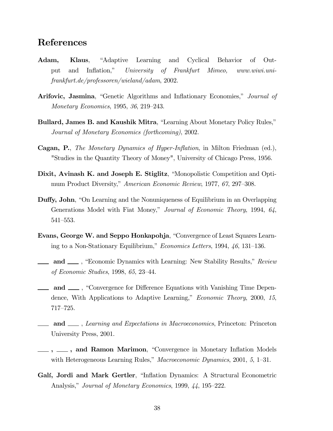### References

- Adam, Klaus, "Adaptive Learning and Cyclical Behavior of Output and Inflation,î University of Frankfurt Mimeo, www.wiwi.unifrankfurt.de/professoren/wieland/adam, 2002.
- Arifovic, Jasmina, "Genetic Algorithms and Inflationary Economies," Journal of Monetary Economics, 1995, 36, 219–243.
- Bullard, James B. and Kaushik Mitra, "Learning About Monetary Policy Rules," Journal of Monetary Economics (forthcoming), 2002.
- Cagan, P., The Monetary Dynamics of Hyper-Inflation, in Milton Friedman (ed.), "Studies in the Quantity Theory of Money", University of Chicago Press, 1956.
- Dixit, Avinash K. and Joseph E. Stiglitz, "Monopolistic Competition and Optimum Product Diversity," American Economic Review, 1977, 67, 297–308.
- **Duffy, John**, "On Learning and the Nonuniqueness of Equilibrium in an Overlapping Generations Model with Fiat Money," Journal of Economic Theory, 1994, 64,  $541 - 553.$
- Evans, George W. and Seppo Honkapohja, "Convergence of Least Squares Learning to a Non-Stationary Equilibrium," Economics Letters, 1994,  $46$ , 131–136.
- and  $\_\_\$ , "Economic Dynamics with Learning: New Stability Results," Review of Economic Studies, 1998, 65, 23–44.
- **and** , "Convergence for Difference Equations with Vanishing Time Dependence, With Applications to Adaptive Learning," *Economic Theory*, 2000, 15,  $717 - 725.$
- and <sub>1</sub>, Learning and Expectations in Macroeconomics, Princeton: Princeton University Press, 2001.
- ,  $\_\_$ , and Ramon Marimon, "Convergence in Monetary Inflation Models with Heterogeneous Learning Rules," Macroeconomic Dynamics, 2001, 5, 1–31.
- Galí, Jordi and Mark Gertler, "Inflation Dynamics: A Structural Econometric Analysis," Journal of Monetary Economics, 1999, 44, 195–222.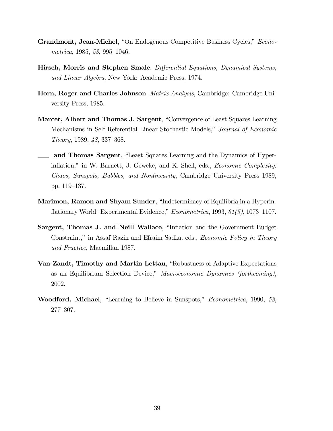- Grandmont, Jean-Michel, "On Endogenous Competitive Business Cycles," *Econo*metrica, 1985, 53, 995–1046.
- Hirsch, Morris and Stephen Smale, Differential Equations, Dynamical Systems, and Linear Algebra, New York: Academic Press, 1974.
- Horn, Roger and Charles Johnson, *Matrix Analysis*, Cambridge: Cambridge University Press, 1985.
- Marcet, Albert and Thomas J. Sargent, "Convergence of Least Squares Learning" Mechanisms in Self Referential Linear Stochastic Models," Journal of Economic Theory, 1989,  $48$ , 337–368.
- and Thomas Sargent, "Least Squares Learning and the Dynamics of Hyperinflation," in W. Barnett, J. Geweke, and K. Shell, eds., *Economic Complexity:* Chaos, Sunspots, Bubbles, and Nonlinearity, Cambridge University Press 1989, pp. 119–137.
- Marimon, Ramon and Shyam Sunder, "Indeterminacy of Equilibria in a Hyperinflationary World: Experimental Evidence," *Econometrica*, 1993,  $61(5)$ , 1073–1107.
- Sargent, Thomas J. and Neill Wallace, "Inflation and the Government Budget Constraint," in Assaf Razin and Efraim Sadka, eds., *Economic Policy in Theory* and Practice, Macmillan 1987.
- Van-Zandt, Timothy and Martin Lettau, "Robustness of Adaptive Expectations" as an Equilibrium Selection Device," Macroeconomic Dynamics (forthcoming), 2002.
- Woodford, Michael, "Learning to Believe in Sunspots," *Econometrica*, 1990, 58, 277ó307.